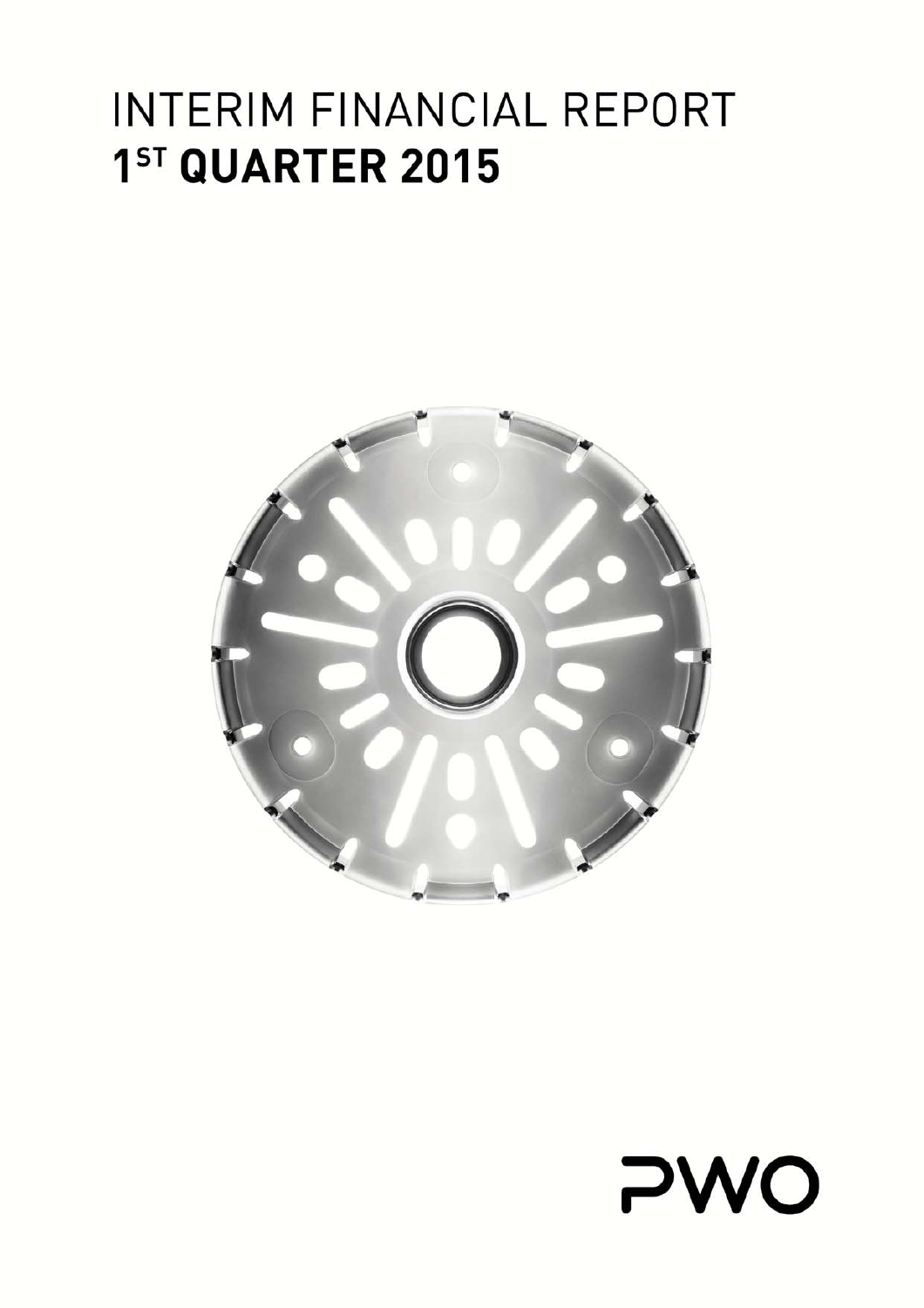# INTERIM FINANCIAL REPORT 1ST QUARTER 2015



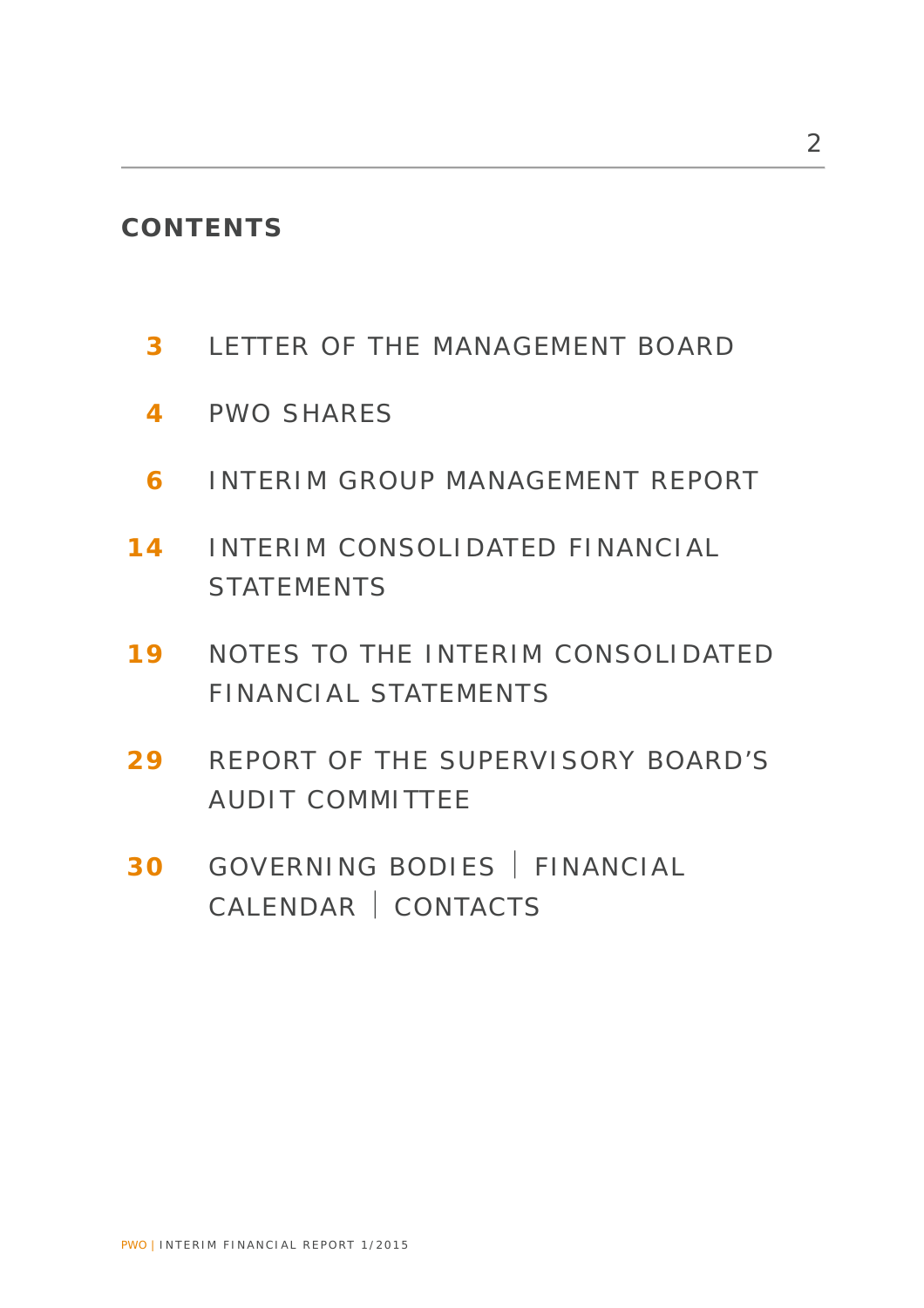# **CONTENTS**

- **3** LETTER OF THE MANAGEMENT BOARD
- **4** PWO SHARES
- **6** INTERIM GROUP MANAGEMENT REPORT
- **14** INTERIM CONSOLIDATED FINANCIAL STATEMENTS
- **19** NOTES TO THE INTERIM CONSOLIDATED FINANCIAL STATEMENTS
- **29** REPORT OF THE SUPERVISORY BOARD'S AUDIT COMMITTEE
- **30** GOVERNING BODIES | FINANCIAL CALENDAR | CONTACTS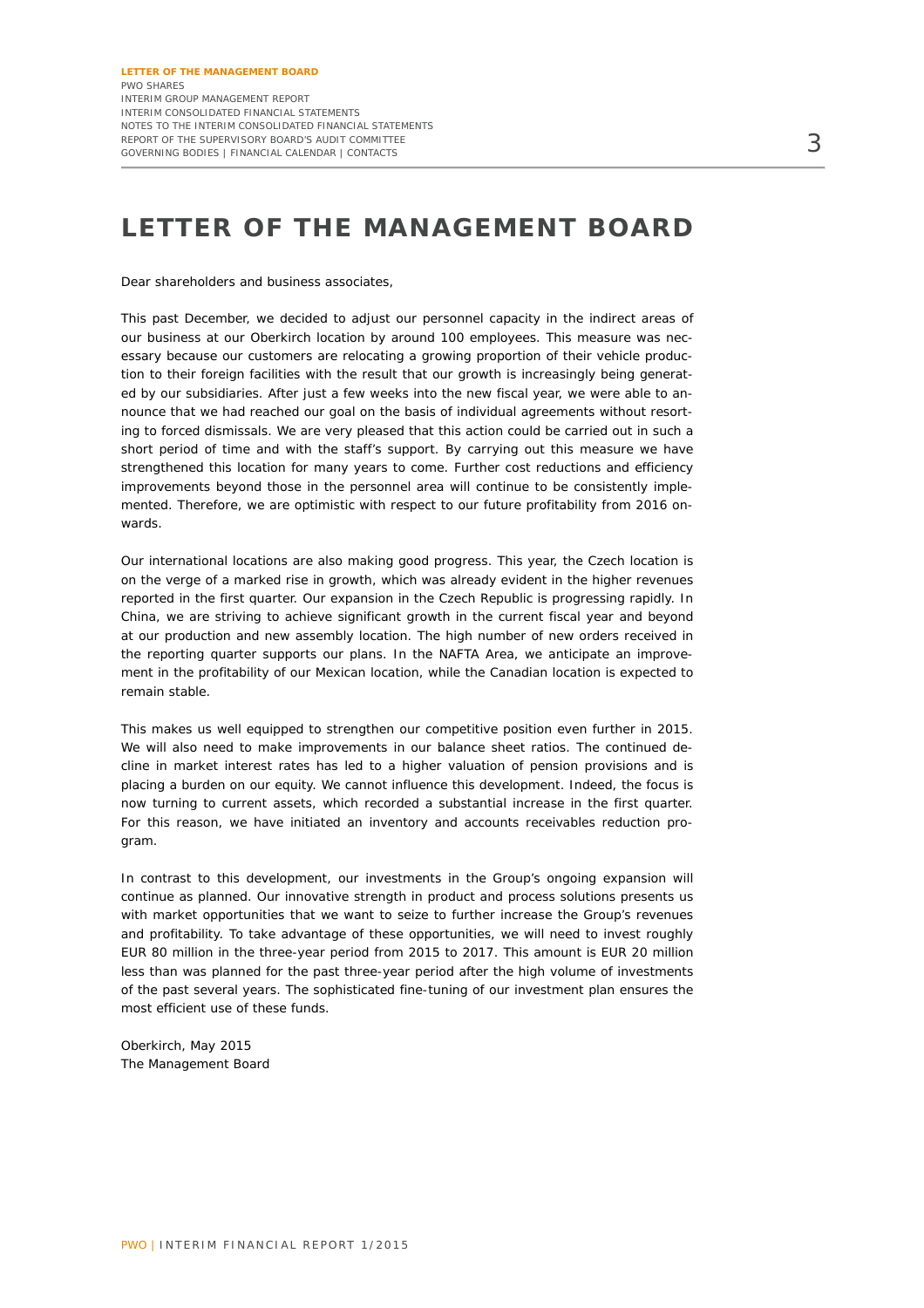# **LETTER OF THE MANAGEMENT BOARD**

Dear shareholders and business associates,

This past December, we decided to adjust our personnel capacity in the indirect areas of our business at our Oberkirch location by around 100 employees. This measure was necessary because our customers are relocating a growing proportion of their vehicle production to their foreign facilities with the result that our growth is increasingly being generated by our subsidiaries. After just a few weeks into the new fiscal year, we were able to announce that we had reached our goal on the basis of individual agreements without resorting to forced dismissals. We are very pleased that this action could be carried out in such a short period of time and with the staff's support. By carrying out this measure we have strengthened this location for many years to come. Further cost reductions and efficiency improvements beyond those in the personnel area will continue to be consistently implemented. Therefore, we are optimistic with respect to our future profitability from 2016 onwards.

Our international locations are also making good progress. This year, the Czech location is on the verge of a marked rise in growth, which was already evident in the higher revenues reported in the first quarter. Our expansion in the Czech Republic is progressing rapidly. In China, we are striving to achieve significant growth in the current fiscal year and beyond at our production and new assembly location. The high number of new orders received in the reporting quarter supports our plans. In the NAFTA Area, we anticipate an improvement in the profitability of our Mexican location, while the Canadian location is expected to remain stable.

This makes us well equipped to strengthen our competitive position even further in 2015. We will also need to make improvements in our balance sheet ratios. The continued decline in market interest rates has led to a higher valuation of pension provisions and is placing a burden on our equity. We cannot influence this development. Indeed, the focus is now turning to current assets, which recorded a substantial increase in the first quarter. For this reason, we have initiated an inventory and accounts receivables reduction program.

In contrast to this development, our investments in the Group's ongoing expansion will continue as planned. Our innovative strength in product and process solutions presents us with market opportunities that we want to seize to further increase the Group's revenues and profitability. To take advantage of these opportunities, we will need to invest roughly EUR 80 million in the three-year period from 2015 to 2017. This amount is EUR 20 million less than was planned for the past three-year period after the high volume of investments of the past several years. The sophisticated fine-tuning of our investment plan ensures the most efficient use of these funds.

Oberkirch, May 2015 The Management Board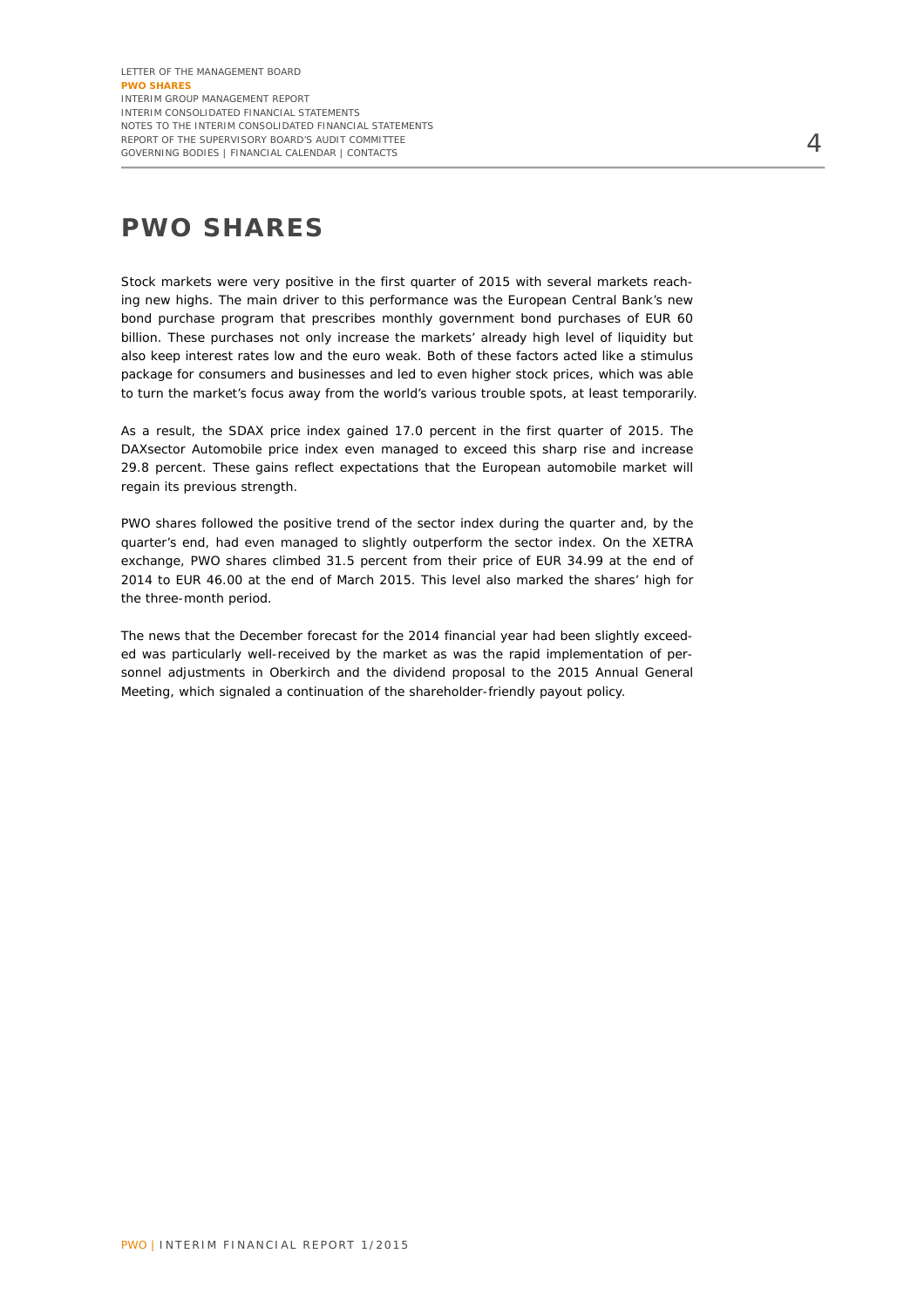# **PWO SHARES**

Stock markets were very positive in the first quarter of 2015 with several markets reaching new highs. The main driver to this performance was the European Central Bank's new bond purchase program that prescribes monthly government bond purchases of EUR 60 billion. These purchases not only increase the markets' already high level of liquidity but also keep interest rates low and the euro weak. Both of these factors acted like a stimulus package for consumers and businesses and led to even higher stock prices, which was able to turn the market's focus away from the world's various trouble spots, at least temporarily.

As a result, the SDAX price index gained 17.0 percent in the first quarter of 2015. The DAXsector Automobile price index even managed to exceed this sharp rise and increase 29.8 percent. These gains reflect expectations that the European automobile market will regain its previous strength.

PWO shares followed the positive trend of the sector index during the quarter and, by the quarter's end, had even managed to slightly outperform the sector index. On the XETRA exchange, PWO shares climbed 31.5 percent from their price of EUR 34.99 at the end of 2014 to EUR 46.00 at the end of March 2015. This level also marked the shares' high for the three-month period.

The news that the December forecast for the 2014 financial year had been slightly exceeded was particularly well-received by the market as was the rapid implementation of personnel adjustments in Oberkirch and the dividend proposal to the 2015 Annual General Meeting, which signaled a continuation of the shareholder-friendly payout policy.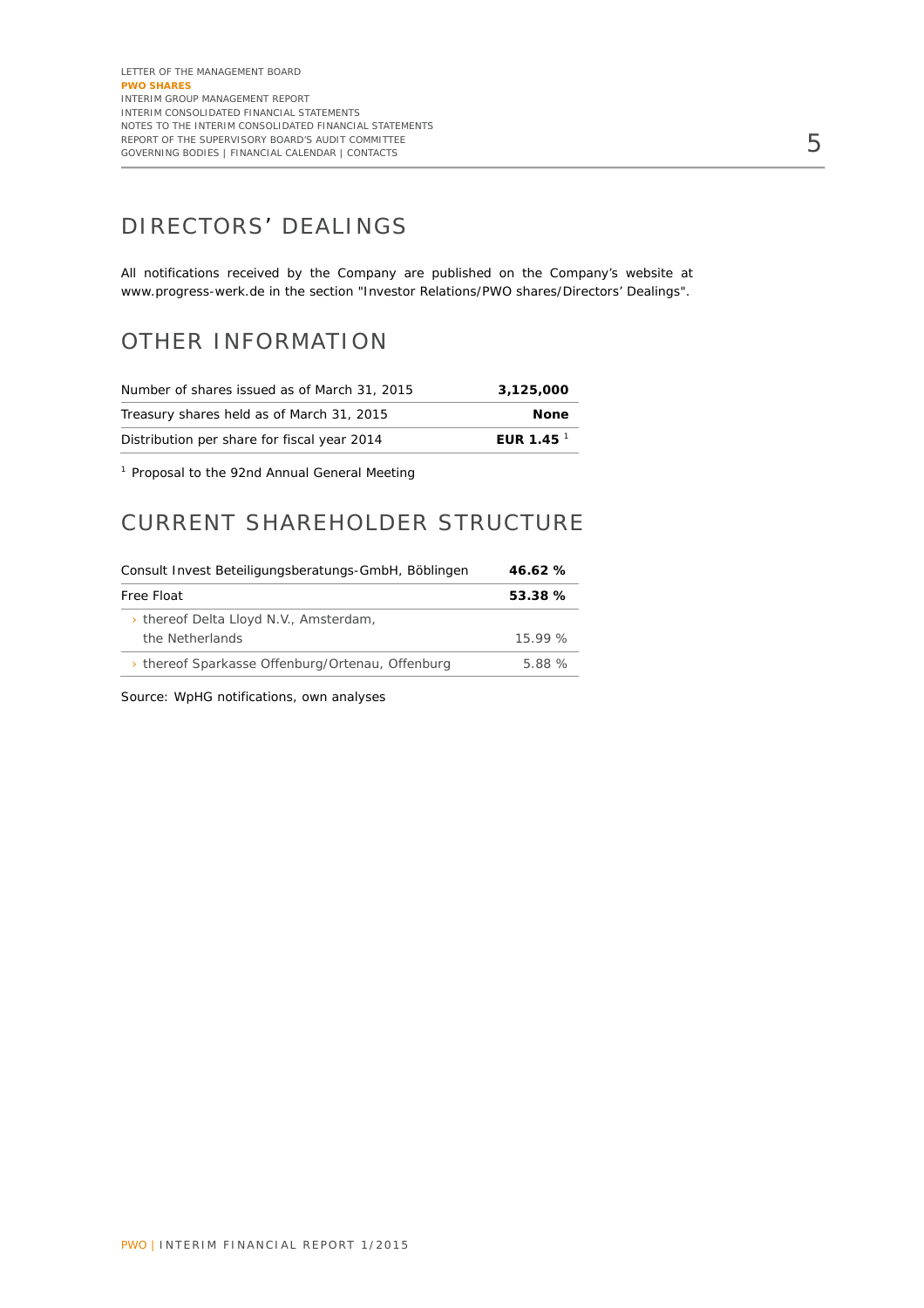# DIRECTORS' DEALINGS

All notifications received by the Company are published on the Company's website at www.progress-werk.de in the section "Investor Relations/PWO shares/Directors' Dealings".

### OTHER INFORMATION

| Number of shares issued as of March 31, 2015 | 3.125.000        |
|----------------------------------------------|------------------|
| Treasury shares held as of March 31, 2015    | <b>None</b>      |
| Distribution per share for fiscal year 2014  | EUR 1.45 $^{-1}$ |

<sup>1</sup> Proposal to the 92nd Annual General Meeting

### CURRENT SHAREHOLDER STRUCTURE

| Consult Invest Beteiligungsberatungs-GmbH, Böblingen | 46.62%  |  |
|------------------------------------------------------|---------|--|
| Free Float                                           | 53.38 % |  |
| > thereof Delta Lloyd N.V., Amsterdam,               |         |  |
| the Netherlands                                      | 15.99 % |  |
| > thereof Sparkasse Offenburg/Ortenau, Offenburg     | 5.88 %  |  |

Source: WpHG notifications, own analyses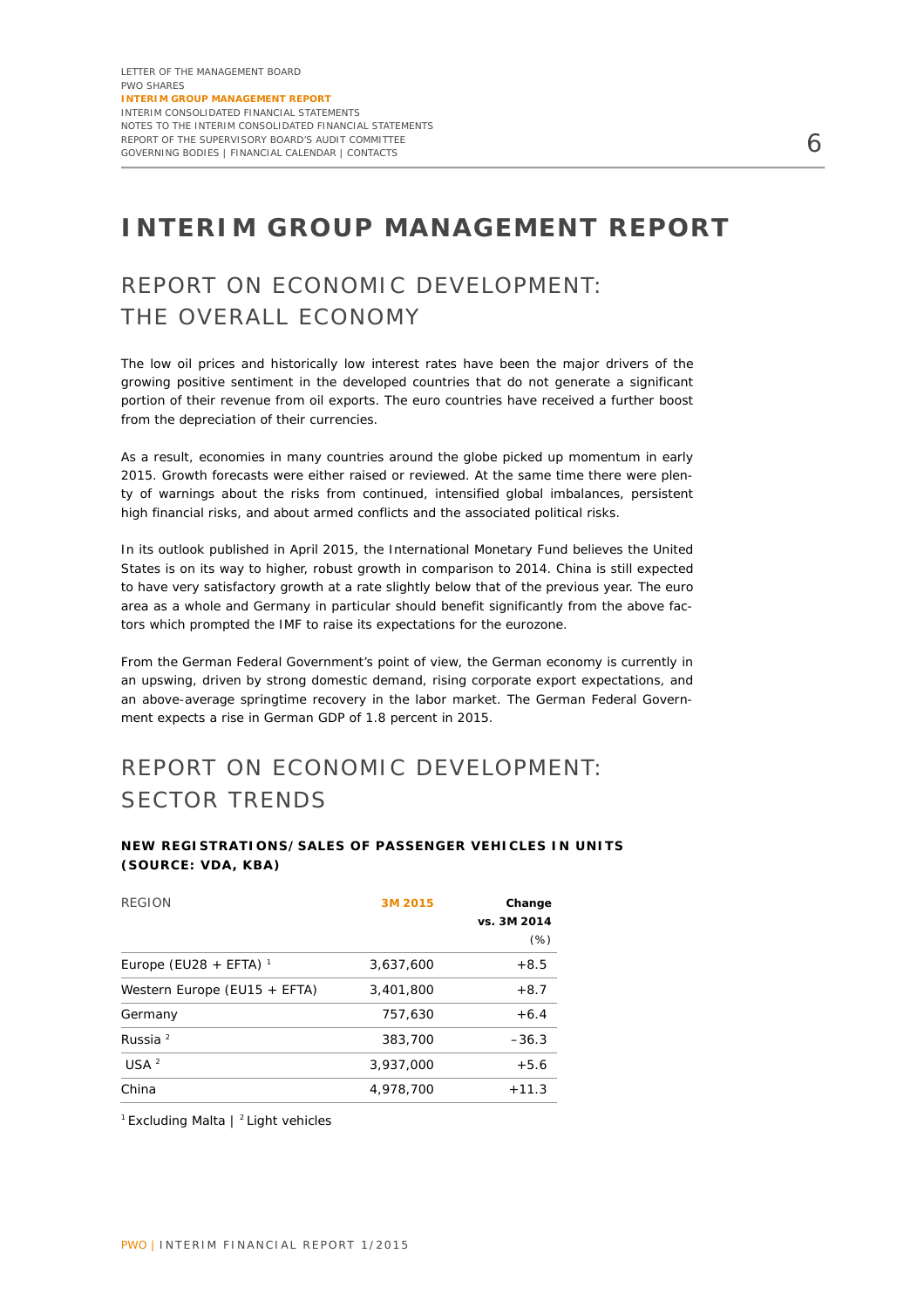# **INTERIM GROUP MANAGEMENT REPORT**

# REPORT ON ECONOMIC DEVELOPMENT: THE OVERALL ECONOMY

The low oil prices and historically low interest rates have been the major drivers of the growing positive sentiment in the developed countries that do not generate a significant portion of their revenue from oil exports. The euro countries have received a further boost from the depreciation of their currencies.

As a result, economies in many countries around the globe picked up momentum in early 2015. Growth forecasts were either raised or reviewed. At the same time there were plenty of warnings about the risks from continued, intensified global imbalances, persistent high financial risks, and about armed conflicts and the associated political risks.

In its outlook published in April 2015, the International Monetary Fund believes the United States is on its way to higher, robust growth in comparison to 2014. China is still expected to have very satisfactory growth at a rate slightly below that of the previous year. The euro area as a whole and Germany in particular should benefit significantly from the above factors which prompted the IMF to raise its expectations for the eurozone.

From the German Federal Government's point of view, the German economy is currently in an upswing, driven by strong domestic demand, rising corporate export expectations, and an above-average springtime recovery in the labor market. The German Federal Government expects a rise in German GDP of 1.8 percent in 2015.

# REPORT ON ECONOMIC DEVELOPMENT: SECTOR TRENDS

#### **NEW REGISTRATIONS/SALES OF PASSENGER VEHICLES IN UNITS (SOURCE: VDA, KBA)**

| <b>REGION</b>                | 3M 2015   | Change<br>vs. 3M 2014<br>$(\%)$ |
|------------------------------|-----------|---------------------------------|
| Europe (EU28 + EFTA) $^1$    | 3,637,600 | $+8.5$                          |
| Western Europe (EU15 + EFTA) | 3,401,800 | $+8.7$                          |
| Germany                      | 757.630   | $+6.4$                          |
| Russia $^2$                  | 383,700   | $-36.3$                         |
| USA <sup>2</sup>             | 3,937,000 | $+5.6$                          |
| China                        | 4.978.700 | $+11.3$                         |

<sup>1</sup> Excluding Malta | <sup>2</sup> Light vehicles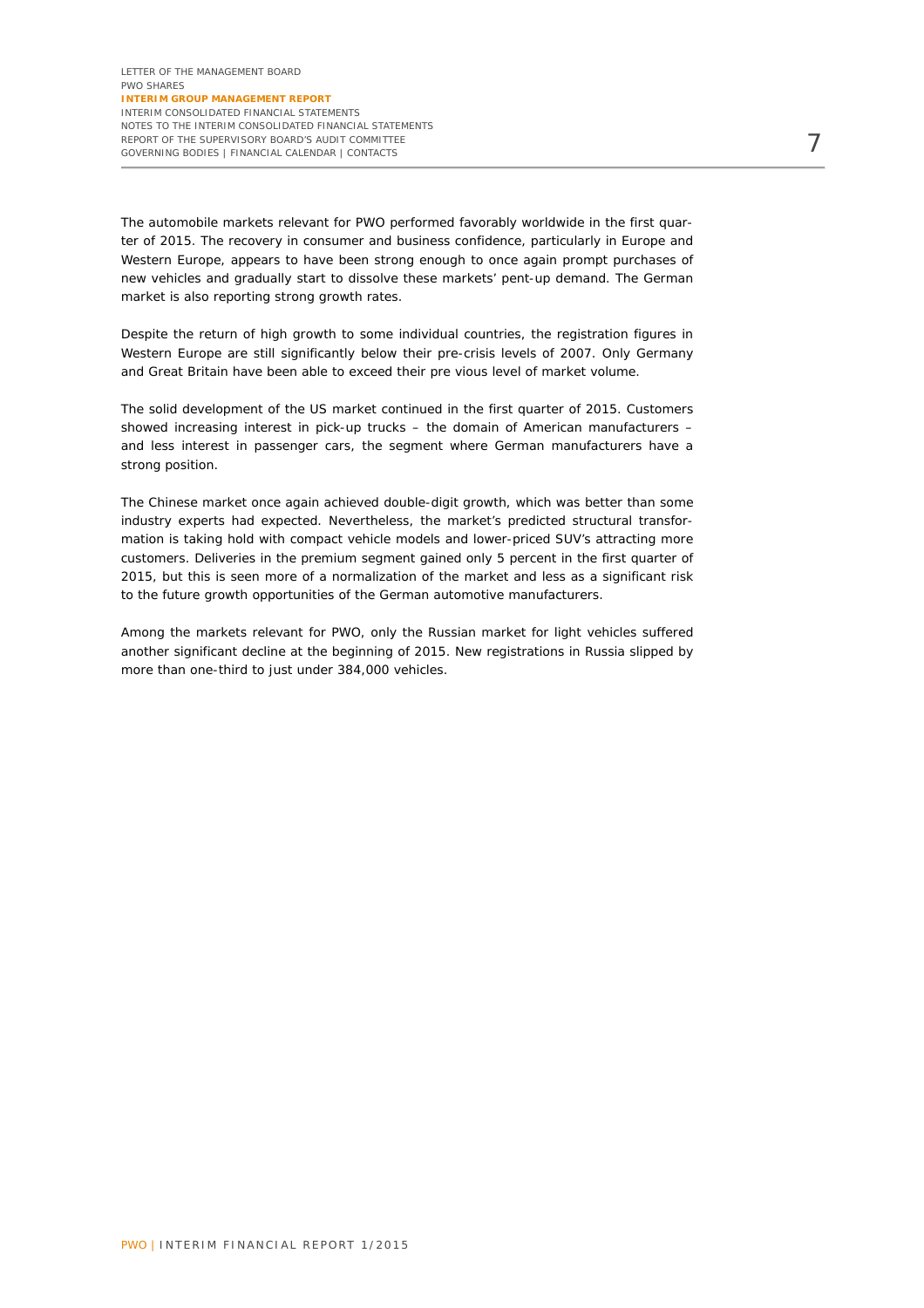The automobile markets relevant for PWO performed favorably worldwide in the first quarter of 2015. The recovery in consumer and business confidence, particularly in Europe and Western Europe, appears to have been strong enough to once again prompt purchases of new vehicles and gradually start to dissolve these markets' pent-up demand. The German market is also reporting strong growth rates.

Despite the return of high growth to some individual countries, the registration figures in Western Europe are still significantly below their pre-crisis levels of 2007. Only Germany and Great Britain have been able to exceed their pre vious level of market volume.

The solid development of the US market continued in the first quarter of 2015. Customers showed increasing interest in pick-up trucks – the domain of American manufacturers – and less interest in passenger cars, the segment where German manufacturers have a strong position.

The Chinese market once again achieved double-digit growth, which was better than some industry experts had expected. Nevertheless, the market's predicted structural transformation is taking hold with compact vehicle models and lower-priced SUV's attracting more customers. Deliveries in the premium segment gained only 5 percent in the first quarter of 2015, but this is seen more of a normalization of the market and less as a significant risk to the future growth opportunities of the German automotive manufacturers.

Among the markets relevant for PWO, only the Russian market for light vehicles suffered another significant decline at the beginning of 2015. New registrations in Russia slipped by more than one-third to just under 384,000 vehicles.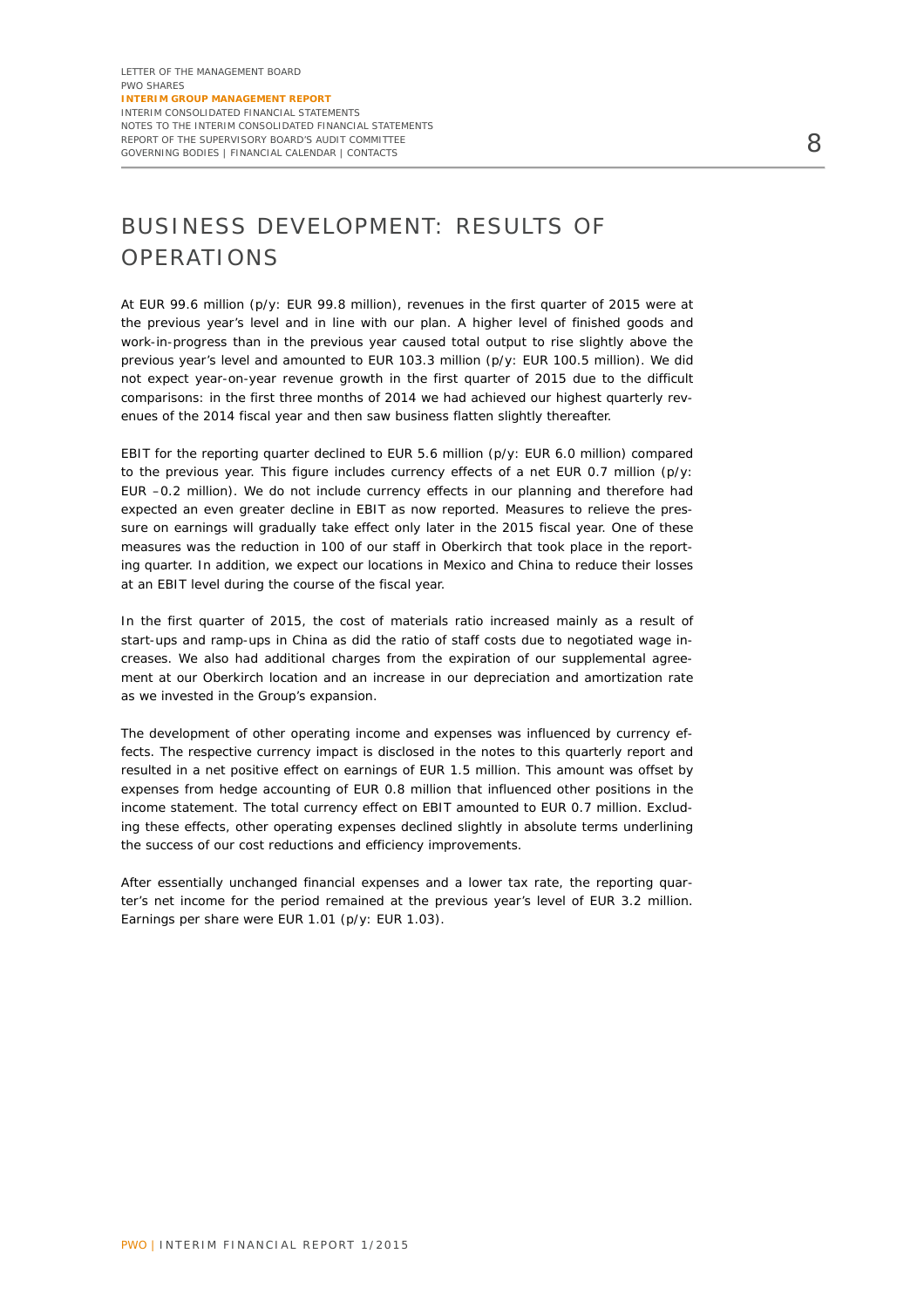# BUSINESS DEVELOPMENT: RESULTS OF OPERATIONS

At EUR 99.6 million (p/y: EUR 99.8 million), revenues in the first quarter of 2015 were at the previous year's level and in line with our plan. A higher level of finished goods and work-in-progress than in the previous year caused total output to rise slightly above the previous year's level and amounted to EUR 103.3 million (p/y: EUR 100.5 million). We did not expect year-on-year revenue growth in the first quarter of 2015 due to the difficult comparisons: in the first three months of 2014 we had achieved our highest quarterly revenues of the 2014 fiscal year and then saw business flatten slightly thereafter.

EBIT for the reporting quarter declined to EUR 5.6 million (p/y: EUR 6.0 million) compared to the previous year. This figure includes currency effects of a net EUR 0.7 million (p/y: EUR –0.2 million). We do not include currency effects in our planning and therefore had expected an even greater decline in EBIT as now reported. Measures to relieve the pressure on earnings will gradually take effect only later in the 2015 fiscal year. One of these measures was the reduction in 100 of our staff in Oberkirch that took place in the reporting quarter. In addition, we expect our locations in Mexico and China to reduce their losses at an EBIT level during the course of the fiscal year.

In the first quarter of 2015, the cost of materials ratio increased mainly as a result of start-ups and ramp-ups in China as did the ratio of staff costs due to negotiated wage increases. We also had additional charges from the expiration of our supplemental agreement at our Oberkirch location and an increase in our depreciation and amortization rate as we invested in the Group's expansion.

The development of other operating income and expenses was influenced by currency effects. The respective currency impact is disclosed in the notes to this quarterly report and resulted in a net positive effect on earnings of EUR 1.5 million. This amount was offset by expenses from hedge accounting of EUR 0.8 million that influenced other positions in the income statement. The total currency effect on EBIT amounted to EUR 0.7 million. Excluding these effects, other operating expenses declined slightly in absolute terms underlining the success of our cost reductions and efficiency improvements.

After essentially unchanged financial expenses and a lower tax rate, the reporting quarter's net income for the period remained at the previous year's level of EUR 3.2 million. Earnings per share were EUR 1.01 (p/y: EUR 1.03).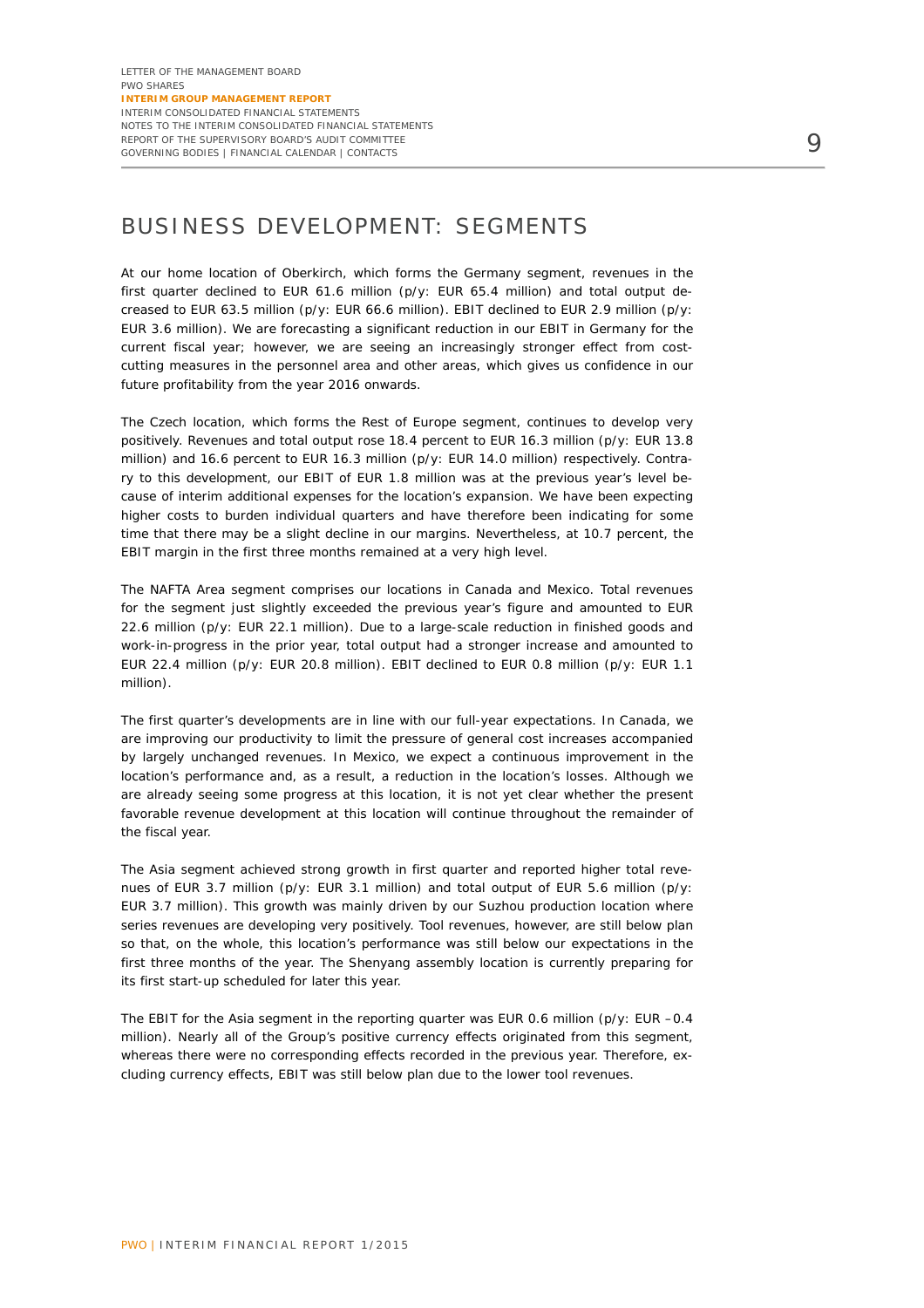## BUSINESS DEVELOPMENT: SEGMENTS

At our home location of Oberkirch, which forms the Germany segment, revenues in the first quarter declined to EUR 61.6 million (p/y: EUR 65.4 million) and total output decreased to EUR 63.5 million (p/y: EUR 66.6 million). EBIT declined to EUR 2.9 million (p/y: EUR 3.6 million). We are forecasting a significant reduction in our EBIT in Germany for the current fiscal year; however, we are seeing an increasingly stronger effect from costcutting measures in the personnel area and other areas, which gives us confidence in our future profitability from the year 2016 onwards.

The Czech location, which forms the Rest of Europe segment, continues to develop very positively. Revenues and total output rose 18.4 percent to EUR 16.3 million (p/y: EUR 13.8 million) and 16.6 percent to EUR 16.3 million (p/y: EUR 14.0 million) respectively. Contrary to this development, our EBIT of EUR 1.8 million was at the previous year's level because of interim additional expenses for the location's expansion. We have been expecting higher costs to burden individual quarters and have therefore been indicating for some time that there may be a slight decline in our margins. Nevertheless, at 10.7 percent, the EBIT margin in the first three months remained at a very high level.

The NAFTA Area segment comprises our locations in Canada and Mexico. Total revenues for the segment just slightly exceeded the previous year's figure and amounted to EUR 22.6 million (p/y: EUR 22.1 million). Due to a large-scale reduction in finished goods and work-in-progress in the prior year, total output had a stronger increase and amounted to EUR 22.4 million (p/y: EUR 20.8 million). EBIT declined to EUR 0.8 million (p/y: EUR 1.1 million).

The first quarter's developments are in line with our full-year expectations. In Canada, we are improving our productivity to limit the pressure of general cost increases accompanied by largely unchanged revenues. In Mexico, we expect a continuous improvement in the location's performance and, as a result, a reduction in the location's losses. Although we are already seeing some progress at this location, it is not yet clear whether the present favorable revenue development at this location will continue throughout the remainder of the fiscal year.

The Asia segment achieved strong growth in first quarter and reported higher total revenues of EUR 3.7 million (p/y: EUR 3.1 million) and total output of EUR 5.6 million (p/y: EUR 3.7 million). This growth was mainly driven by our Suzhou production location where series revenues are developing very positively. Tool revenues, however, are still below plan so that, on the whole, this location's performance was still below our expectations in the first three months of the year. The Shenyang assembly location is currently preparing for its first start-up scheduled for later this year.

The EBIT for the Asia segment in the reporting quarter was EUR 0.6 million (p/y: EUR –0.4 million). Nearly all of the Group's positive currency effects originated from this segment, whereas there were no corresponding effects recorded in the previous year. Therefore, excluding currency effects, EBIT was still below plan due to the lower tool revenues.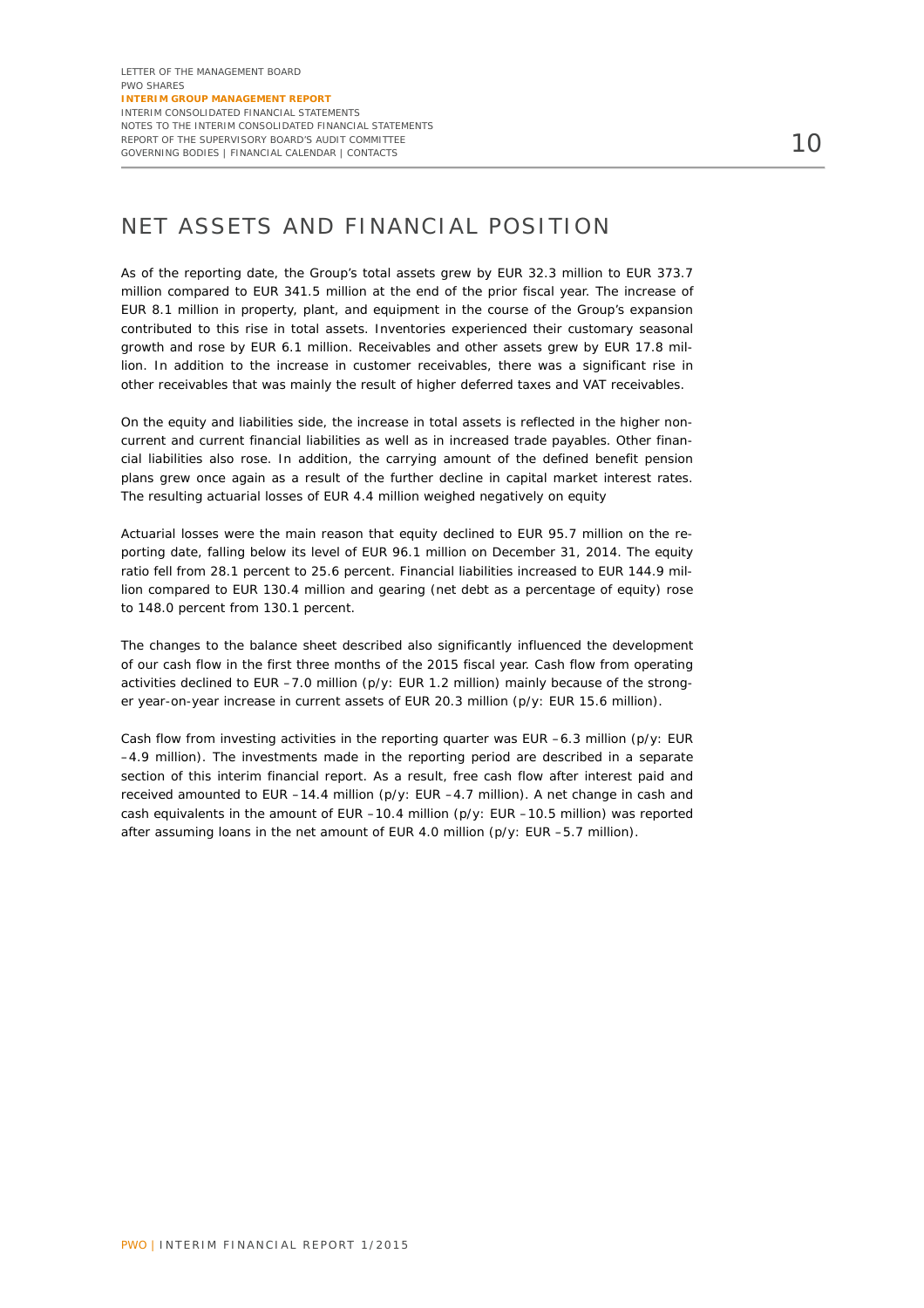### NET ASSETS AND FINANCIAL POSITION

As of the reporting date, the Group's total assets grew by EUR 32.3 million to EUR 373.7 million compared to EUR 341.5 million at the end of the prior fiscal year. The increase of EUR 8.1 million in property, plant, and equipment in the course of the Group's expansion contributed to this rise in total assets. Inventories experienced their customary seasonal growth and rose by EUR 6.1 million. Receivables and other assets grew by EUR 17.8 million. In addition to the increase in customer receivables, there was a significant rise in other receivables that was mainly the result of higher deferred taxes and VAT receivables.

On the equity and liabilities side, the increase in total assets is reflected in the higher noncurrent and current financial liabilities as well as in increased trade payables. Other financial liabilities also rose. In addition, the carrying amount of the defined benefit pension plans grew once again as a result of the further decline in capital market interest rates. The resulting actuarial losses of EUR 4.4 million weighed negatively on equity

Actuarial losses were the main reason that equity declined to EUR 95.7 million on the reporting date, falling below its level of EUR 96.1 million on December 31, 2014. The equity ratio fell from 28.1 percent to 25.6 percent. Financial liabilities increased to EUR 144.9 million compared to EUR 130.4 million and gearing (net debt as a percentage of equity) rose to 148.0 percent from 130.1 percent.

The changes to the balance sheet described also significantly influenced the development of our cash flow in the first three months of the 2015 fiscal year. Cash flow from operating activities declined to EUR –7.0 million (p/y: EUR 1.2 million) mainly because of the stronger year-on-year increase in current assets of EUR 20.3 million (p/y: EUR 15.6 million).

Cash flow from investing activities in the reporting quarter was EUR –6.3 million (p/y: EUR –4.9 million). The investments made in the reporting period are described in a separate section of this interim financial report. As a result, free cash flow after interest paid and received amounted to EUR –14.4 million (p/y: EUR –4.7 million). A net change in cash and cash equivalents in the amount of EUR –10.4 million (p/y: EUR –10.5 million) was reported after assuming loans in the net amount of EUR 4.0 million (p/y: EUR –5.7 million).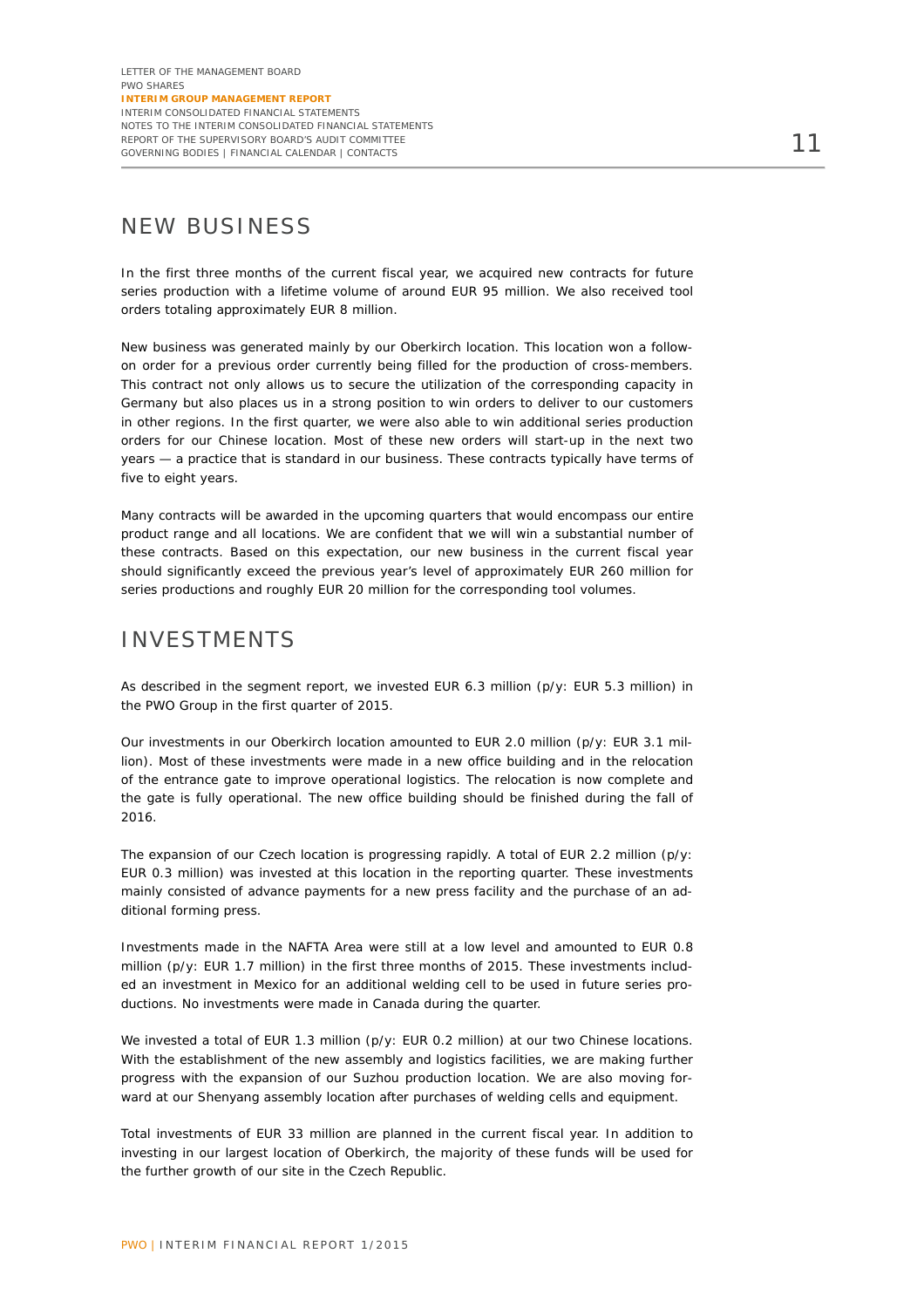### NEW BUSINESS

In the first three months of the current fiscal year, we acquired new contracts for future series production with a lifetime volume of around EUR 95 million. We also received tool orders totaling approximately EUR 8 million.

New business was generated mainly by our Oberkirch location. This location won a followon order for a previous order currently being filled for the production of cross-members. This contract not only allows us to secure the utilization of the corresponding capacity in Germany but also places us in a strong position to win orders to deliver to our customers in other regions. In the first quarter, we were also able to win additional series production orders for our Chinese location. Most of these new orders will start-up in the next two years — a practice that is standard in our business. These contracts typically have terms of five to eight years.

Many contracts will be awarded in the upcoming quarters that would encompass our entire product range and all locations. We are confident that we will win a substantial number of these contracts. Based on this expectation, our new business in the current fiscal year should significantly exceed the previous year's level of approximately EUR 260 million for series productions and roughly EUR 20 million for the corresponding tool volumes.

### INVESTMENTS

As described in the segment report, we invested EUR 6.3 million (p/y: EUR 5.3 million) in the PWO Group in the first quarter of 2015.

Our investments in our Oberkirch location amounted to EUR 2.0 million (p/y: EUR 3.1 million). Most of these investments were made in a new office building and in the relocation of the entrance gate to improve operational logistics. The relocation is now complete and the gate is fully operational. The new office building should be finished during the fall of 2016.

The expansion of our Czech location is progressing rapidly. A total of EUR 2.2 million (p/y: EUR 0.3 million) was invested at this location in the reporting quarter. These investments mainly consisted of advance payments for a new press facility and the purchase of an additional forming press.

Investments made in the NAFTA Area were still at a low level and amounted to EUR 0.8 million (p/y: EUR 1.7 million) in the first three months of 2015. These investments included an investment in Mexico for an additional welding cell to be used in future series productions. No investments were made in Canada during the quarter.

We invested a total of EUR 1.3 million (p/y: EUR 0.2 million) at our two Chinese locations. With the establishment of the new assembly and logistics facilities, we are making further progress with the expansion of our Suzhou production location. We are also moving forward at our Shenyang assembly location after purchases of welding cells and equipment.

Total investments of EUR 33 million are planned in the current fiscal year. In addition to investing in our largest location of Oberkirch, the majority of these funds will be used for the further growth of our site in the Czech Republic.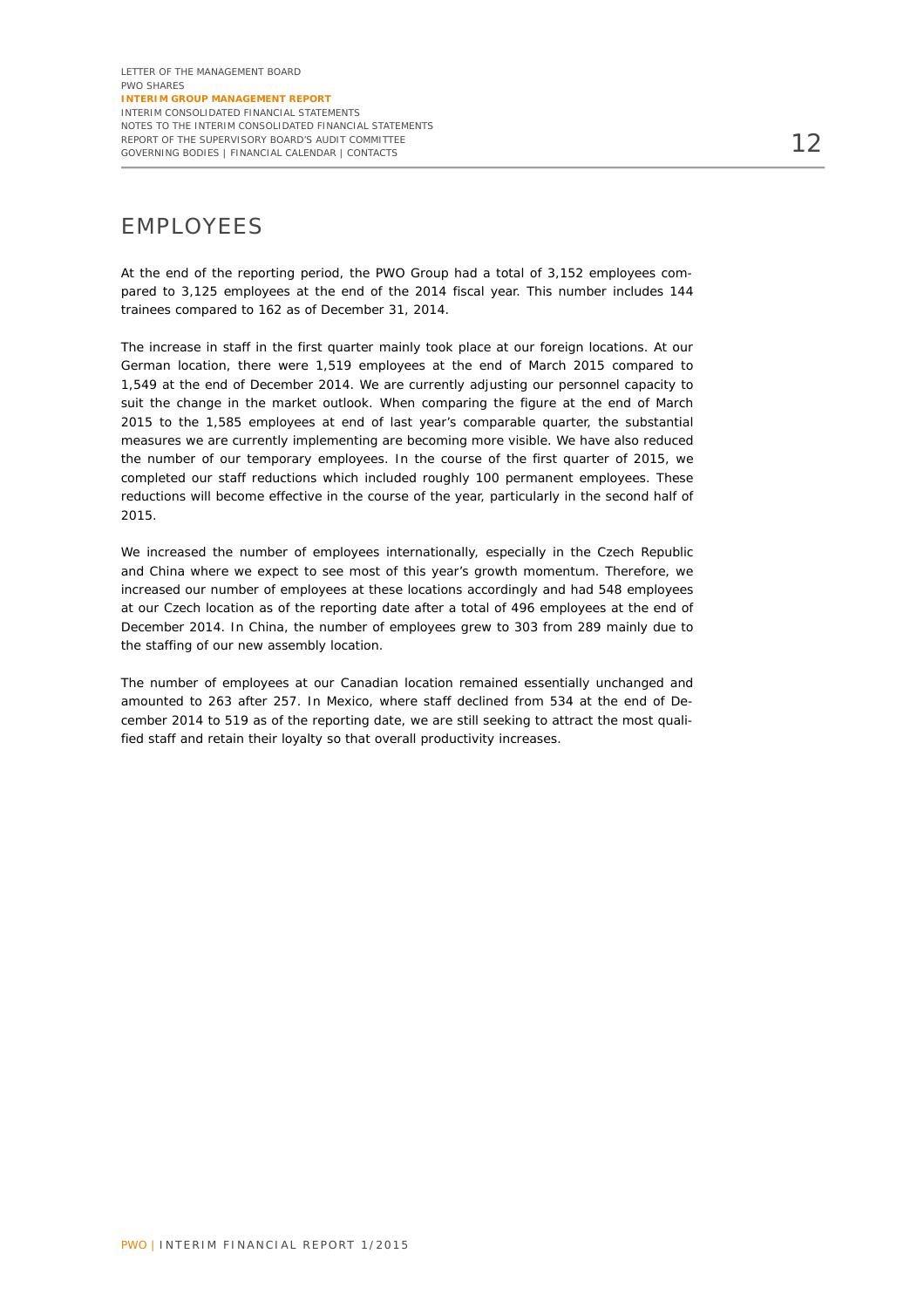### EMPLOYEES

At the end of the reporting period, the PWO Group had a total of 3,152 employees compared to 3,125 employees at the end of the 2014 fiscal year. This number includes 144 trainees compared to 162 as of December 31, 2014.

The increase in staff in the first quarter mainly took place at our foreign locations. At our German location, there were 1,519 employees at the end of March 2015 compared to 1,549 at the end of December 2014. We are currently adjusting our personnel capacity to suit the change in the market outlook. When comparing the figure at the end of March 2015 to the 1,585 employees at end of last year's comparable quarter, the substantial measures we are currently implementing are becoming more visible. We have also reduced the number of our temporary employees. In the course of the first quarter of 2015, we completed our staff reductions which included roughly 100 permanent employees. These reductions will become effective in the course of the year, particularly in the second half of 2015.

We increased the number of employees internationally, especially in the Czech Republic and China where we expect to see most of this year's growth momentum. Therefore, we increased our number of employees at these locations accordingly and had 548 employees at our Czech location as of the reporting date after a total of 496 employees at the end of December 2014. In China, the number of employees grew to 303 from 289 mainly due to the staffing of our new assembly location.

The number of employees at our Canadian location remained essentially unchanged and amounted to 263 after 257. In Mexico, where staff declined from 534 at the end of December 2014 to 519 as of the reporting date, we are still seeking to attract the most qualified staff and retain their loyalty so that overall productivity increases.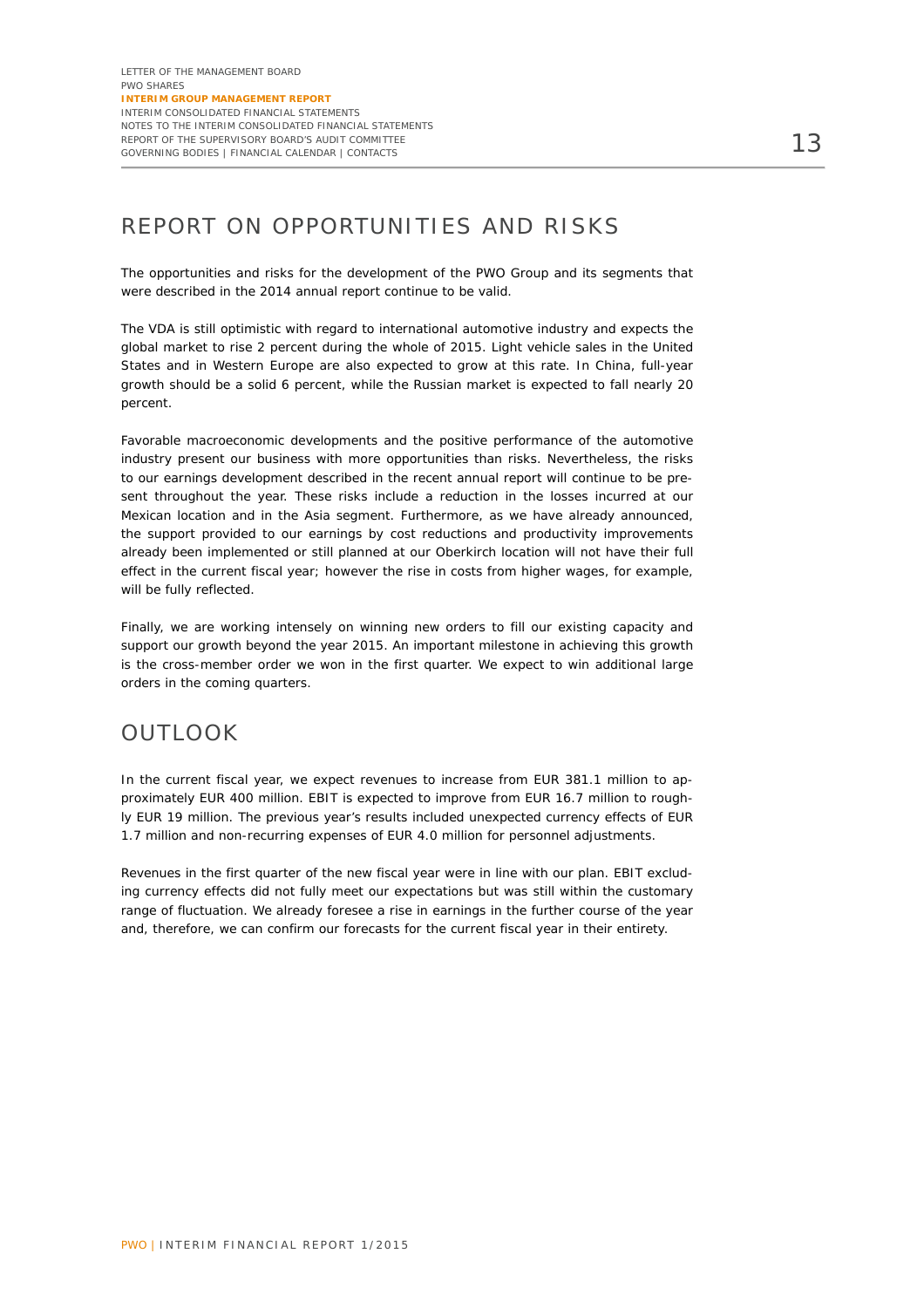# REPORT ON OPPORTUNITIES AND RISKS

The opportunities and risks for the development of the PWO Group and its segments that were described in the 2014 annual report continue to be valid.

The VDA is still optimistic with regard to international automotive industry and expects the global market to rise 2 percent during the whole of 2015. Light vehicle sales in the United States and in Western Europe are also expected to grow at this rate. In China, full-year growth should be a solid 6 percent, while the Russian market is expected to fall nearly 20 percent.

Favorable macroeconomic developments and the positive performance of the automotive industry present our business with more opportunities than risks. Nevertheless, the risks to our earnings development described in the recent annual report will continue to be present throughout the year. These risks include a reduction in the losses incurred at our Mexican location and in the Asia segment. Furthermore, as we have already announced, the support provided to our earnings by cost reductions and productivity improvements already been implemented or still planned at our Oberkirch location will not have their full effect in the current fiscal year; however the rise in costs from higher wages, for example, will be fully reflected.

Finally, we are working intensely on winning new orders to fill our existing capacity and support our growth beyond the year 2015. An important milestone in achieving this growth is the cross-member order we won in the first quarter. We expect to win additional large orders in the coming quarters.

### OUTLOOK

In the current fiscal year, we expect revenues to increase from EUR 381.1 million to approximately EUR 400 million. EBIT is expected to improve from EUR 16.7 million to roughly EUR 19 million. The previous year's results included unexpected currency effects of EUR 1.7 million and non-recurring expenses of EUR 4.0 million for personnel adjustments.

Revenues in the first quarter of the new fiscal year were in line with our plan. EBIT excluding currency effects did not fully meet our expectations but was still within the customary range of fluctuation. We already foresee a rise in earnings in the further course of the year and, therefore, we can confirm our forecasts for the current fiscal year in their entirety.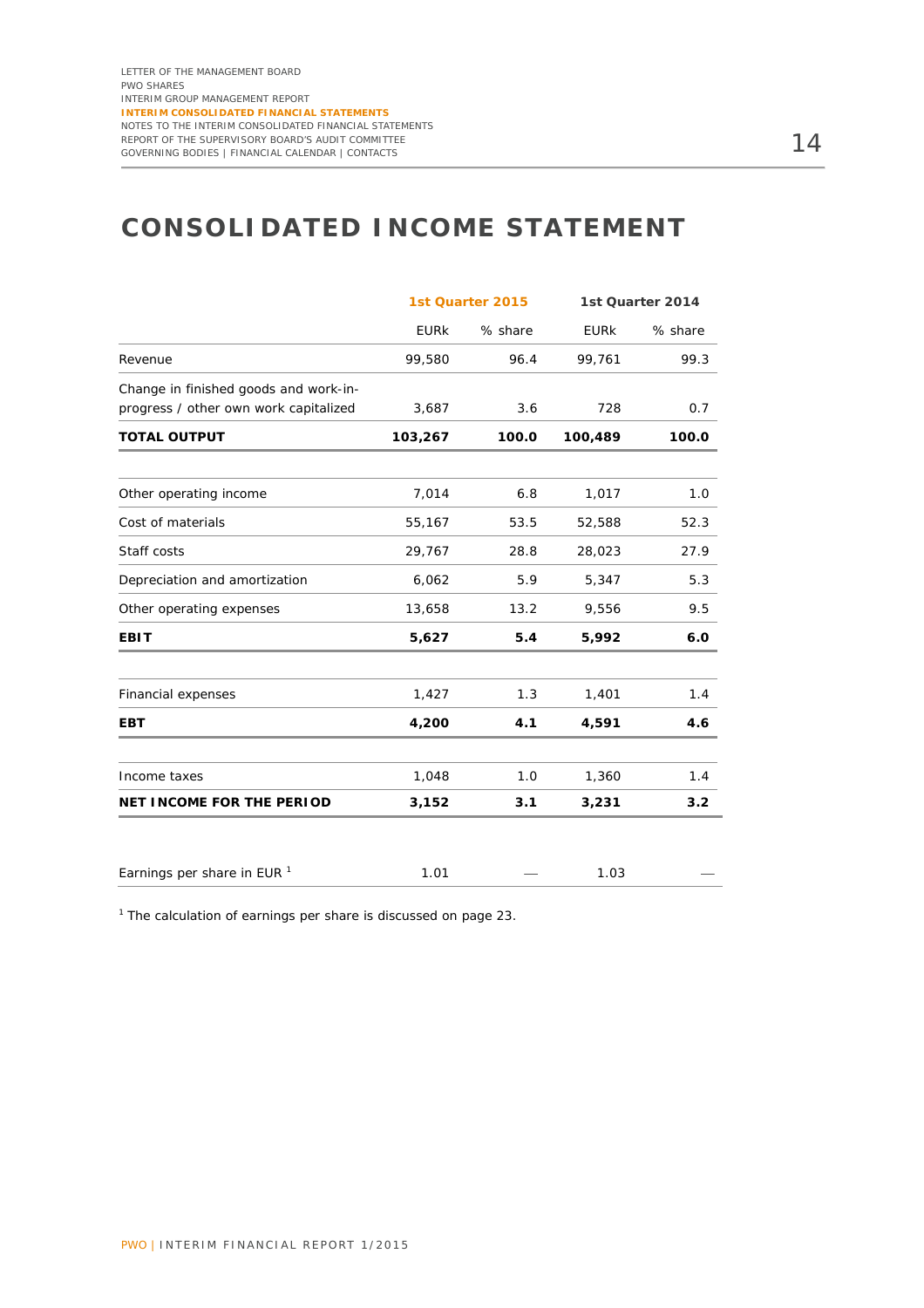# **CONSOLIDATED INCOME STATEMENT**

|                                                                                | 1st Quarter 2015 |         |             | 1st Quarter 2014 |
|--------------------------------------------------------------------------------|------------------|---------|-------------|------------------|
|                                                                                | <b>EURK</b>      | % share | <b>EURK</b> | % share          |
| Revenue                                                                        | 99,580           | 96.4    | 99,761      | 99.3             |
| Change in finished goods and work-in-<br>progress / other own work capitalized | 3,687            | 3.6     | 728         | 0.7              |
| <b>TOTAL OUTPUT</b>                                                            | 103,267          | 100.0   | 100,489     | 100.0            |
| Other operating income                                                         | 7,014            | 6.8     | 1,017       | 1.0              |
| Cost of materials                                                              | 55,167           | 53.5    | 52,588      | 52.3             |
| Staff costs                                                                    | 29,767           | 28.8    | 28,023      | 27.9             |
| Depreciation and amortization                                                  | 6,062            | 5.9     | 5,347       | 5.3              |
| Other operating expenses                                                       | 13,658           | 13.2    | 9,556       | 9.5              |
| <b>EBIT</b>                                                                    | 5,627            | 5.4     | 5,992       | 6.0              |
| Financial expenses                                                             | 1,427            | 1.3     | 1,401       | 1.4              |
| <b>EBT</b>                                                                     | 4,200            | 4.1     | 4,591       | 4.6              |
| Income taxes                                                                   | 1,048            | 1.0     | 1,360       | 1.4              |
| <b>NET INCOME FOR THE PERIOD</b>                                               | 3,152            | 3.1     | 3,231       | 3.2              |
|                                                                                |                  |         |             |                  |
| Earnings per share in EUR <sup>1</sup>                                         | 1.01             |         | 1.03        |                  |

 $1$  The calculation of earnings per share is discussed on page 23.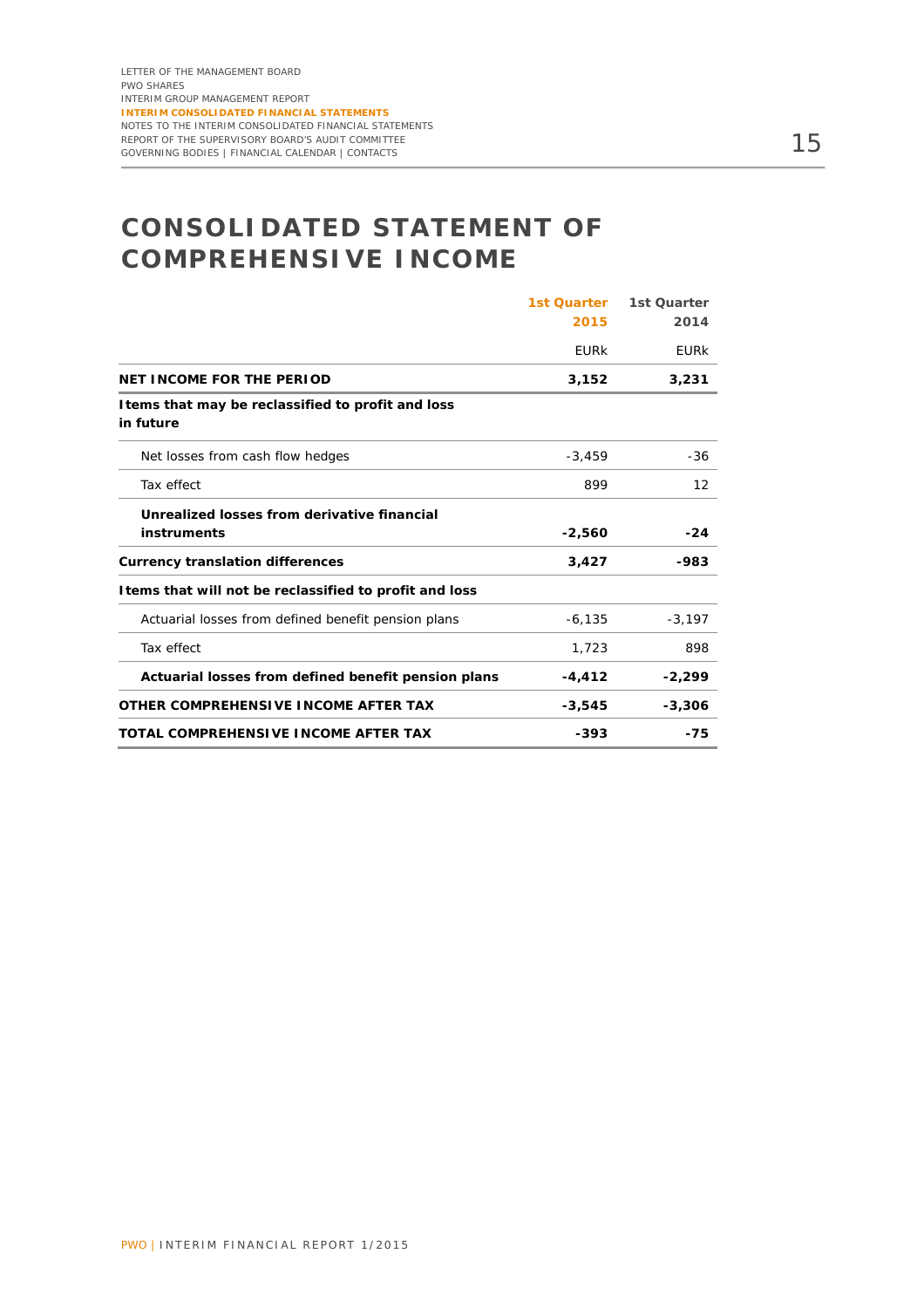# **CONSOLIDATED STATEMENT OF COMPREHENSIVE INCOME**

|                                                                 | <b>1st Quarter</b> | 1st Quarter       |
|-----------------------------------------------------------------|--------------------|-------------------|
|                                                                 | 2015               | 2014              |
|                                                                 | <b>EURK</b>        | <b>EURK</b>       |
| <b>NET INCOME FOR THE PERIOD</b>                                | 3,152              | 3,231             |
| I tems that may be reclassified to profit and loss<br>in future |                    |                   |
| Net losses from cash flow hedges                                | $-3,459$           | -36               |
| Tax effect                                                      | 899                | $12 \overline{ }$ |
| Unrealized losses from derivative financial                     |                    |                   |
| instruments                                                     | $-2,560$           | $-24$             |
| <b>Currency translation differences</b>                         | 3,427              | -983              |
| I tems that will not be reclassified to profit and loss         |                    |                   |
| Actuarial losses from defined benefit pension plans             | $-6, 135$          | $-3,197$          |
| Tax effect                                                      | 1,723              | 898               |
| Actuarial losses from defined benefit pension plans             | $-4, 412$          | $-2,299$          |
| OTHER COMPREHENSIVE INCOME AFTER TAX                            | $-3,545$           | $-3,306$          |
| TOTAL COMPREHENSIVE INCOME AFTER TAX                            | $-393$             | $-75$             |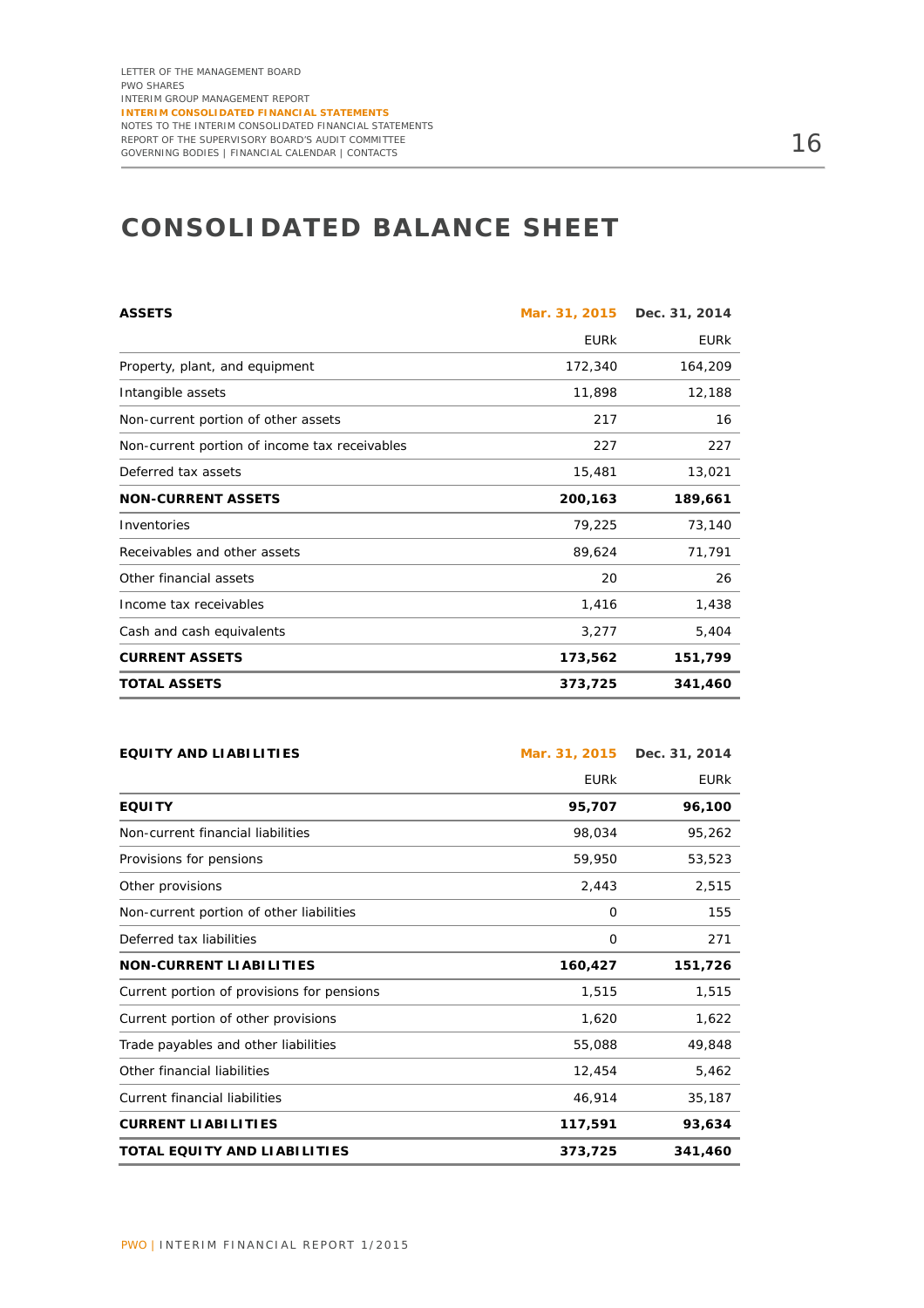# **CONSOLIDATED BALANCE SHEET**

| <b>ASSETS</b>                                 | Mar. 31, 2015 | Dec. 31, 2014 |
|-----------------------------------------------|---------------|---------------|
|                                               | <b>EURK</b>   | <b>EURK</b>   |
| Property, plant, and equipment                | 172,340       | 164,209       |
| Intangible assets                             | 11,898        | 12,188        |
| Non-current portion of other assets           | 217           | 16            |
| Non-current portion of income tax receivables | 227           | 227           |
| Deferred tax assets                           | 15,481        | 13,021        |
| <b>NON-CURRENT ASSETS</b>                     | 200,163       | 189,661       |
| Inventories                                   | 79,225        | 73,140        |
| Receivables and other assets                  | 89,624        | 71,791        |
| Other financial assets                        | 20            | 26            |
| Income tax receivables                        | 1,416         | 1,438         |
| Cash and cash equivalents                     | 3,277         | 5,404         |
| <b>CURRENT ASSETS</b>                         | 173,562       | 151,799       |
| <b>TOTAL ASSETS</b>                           | 373,725       | 341,460       |

| <b>EQUITY AND LIABILITIES</b>              | Mar. 31, 2015 | Dec. 31, 2014 |
|--------------------------------------------|---------------|---------------|
|                                            | <b>EURK</b>   | <b>EURK</b>   |
| <b>EQUITY</b>                              | 95,707        | 96,100        |
| Non-current financial liabilities          | 98.034        | 95,262        |
| Provisions for pensions                    | 59,950        | 53,523        |
| Other provisions                           | 2,443         | 2,515         |
| Non-current portion of other liabilities   | $\Omega$      | 155           |
| Deferred tax liabilities                   | $\Omega$      | 271           |
| <b>NON-CURRENT LIABILITIES</b>             | 160,427       | 151,726       |
| Current portion of provisions for pensions | 1,515         | 1,515         |
| Current portion of other provisions        | 1,620         | 1,622         |
| Trade payables and other liabilities       | 55,088        | 49,848        |
| Other financial liabilities                | 12,454        | 5,462         |
| <b>Current financial liabilities</b>       | 46,914        | 35,187        |
| <b>CURRENT LIABILITIES</b>                 | 117,591       | 93,634        |
| TOTAL EQUITY AND LIABILITIES               | 373,725       | 341,460       |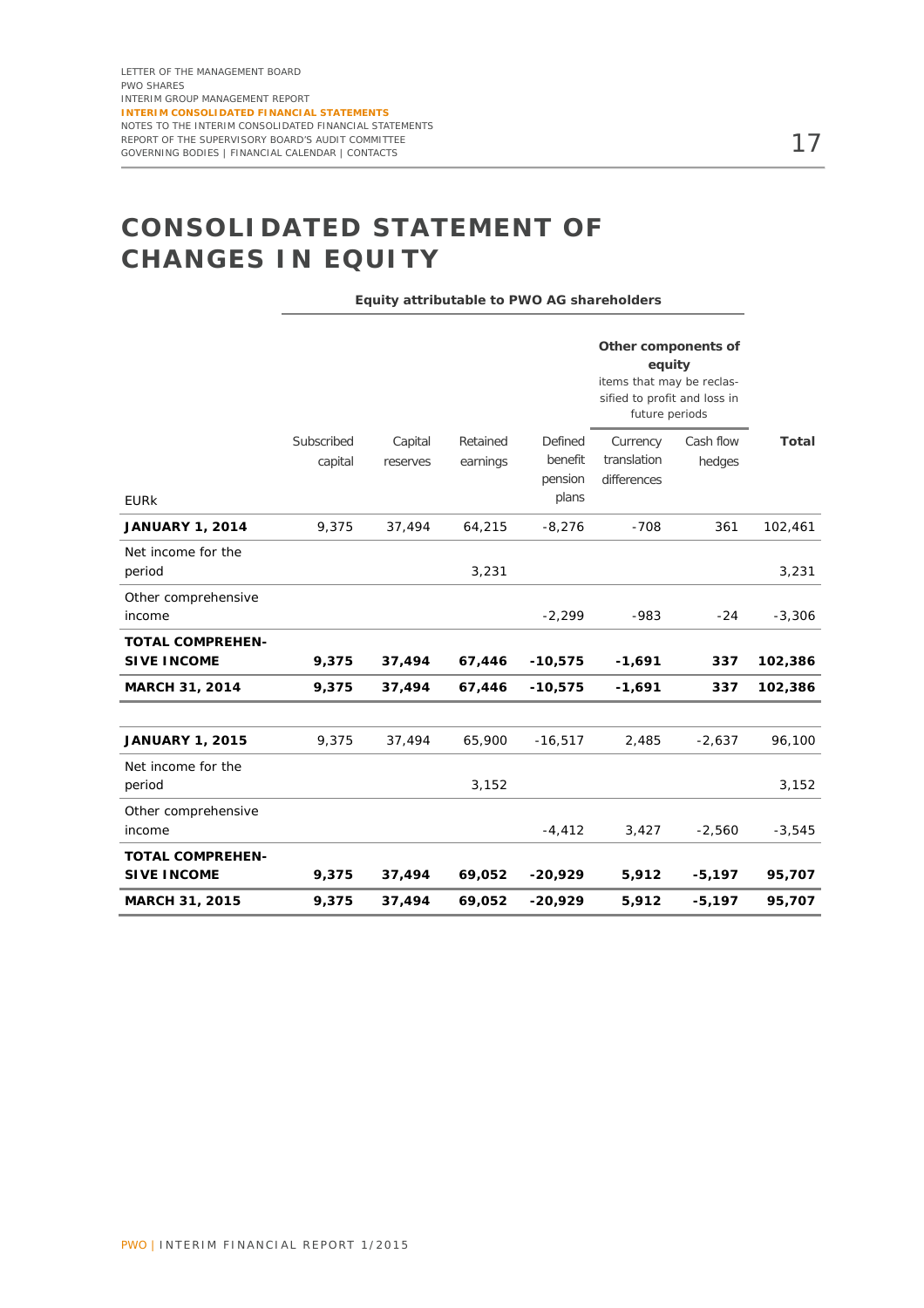# **CONSOLIDATED STATEMENT OF CHANGES IN EQUITY**

**Equity attributable to PWO AG shareholders** 

|                                               |            |          |          |                  | Other components of<br>equity<br>items that may be reclas-<br>sified to profit and loss in<br>future periods |           |              |
|-----------------------------------------------|------------|----------|----------|------------------|--------------------------------------------------------------------------------------------------------------|-----------|--------------|
|                                               | Subscribed | Capital  | Retained | Defined          | Currency                                                                                                     | Cash flow | <b>Total</b> |
|                                               | capital    | reserves | earnings | benefit          | translation                                                                                                  | hedges    |              |
| <b>EURK</b>                                   |            |          |          | pension<br>plans | differences                                                                                                  |           |              |
| <b>JANUARY 1, 2014</b>                        | 9,375      | 37,494   | 64,215   | $-8,276$         | $-708$                                                                                                       | 361       | 102,461      |
| Net income for the<br>period                  |            |          | 3,231    |                  |                                                                                                              |           | 3,231        |
| Other comprehensive<br>income                 |            |          |          | $-2,299$         | $-983$                                                                                                       | $-24$     | $-3,306$     |
| <b>TOTAL COMPREHEN-</b><br><b>SIVE INCOME</b> | 9,375      | 37,494   | 67,446   | $-10,575$        | $-1,691$                                                                                                     | 337       | 102,386      |
| <b>MARCH 31, 2014</b>                         | 9,375      | 37,494   | 67,446   | $-10,575$        | $-1,691$                                                                                                     | 337       | 102,386      |
|                                               |            |          |          |                  |                                                                                                              |           |              |
| <b>JANUARY 1, 2015</b>                        | 9,375      | 37,494   | 65,900   | $-16,517$        | 2,485                                                                                                        | $-2,637$  | 96,100       |
| Net income for the<br>period                  |            |          | 3,152    |                  |                                                                                                              |           | 3,152        |
| Other comprehensive<br>income                 |            |          |          | $-4,412$         | 3,427                                                                                                        | $-2,560$  | $-3,545$     |
| <b>TOTAL COMPREHEN-</b><br><b>SIVE INCOME</b> | 9,375      | 37,494   | 69,052   | $-20,929$        | 5,912                                                                                                        | $-5,197$  | 95,707       |
| <b>MARCH 31, 2015</b>                         | 9,375      | 37,494   | 69,052   | $-20,929$        | 5,912                                                                                                        | $-5,197$  | 95,707       |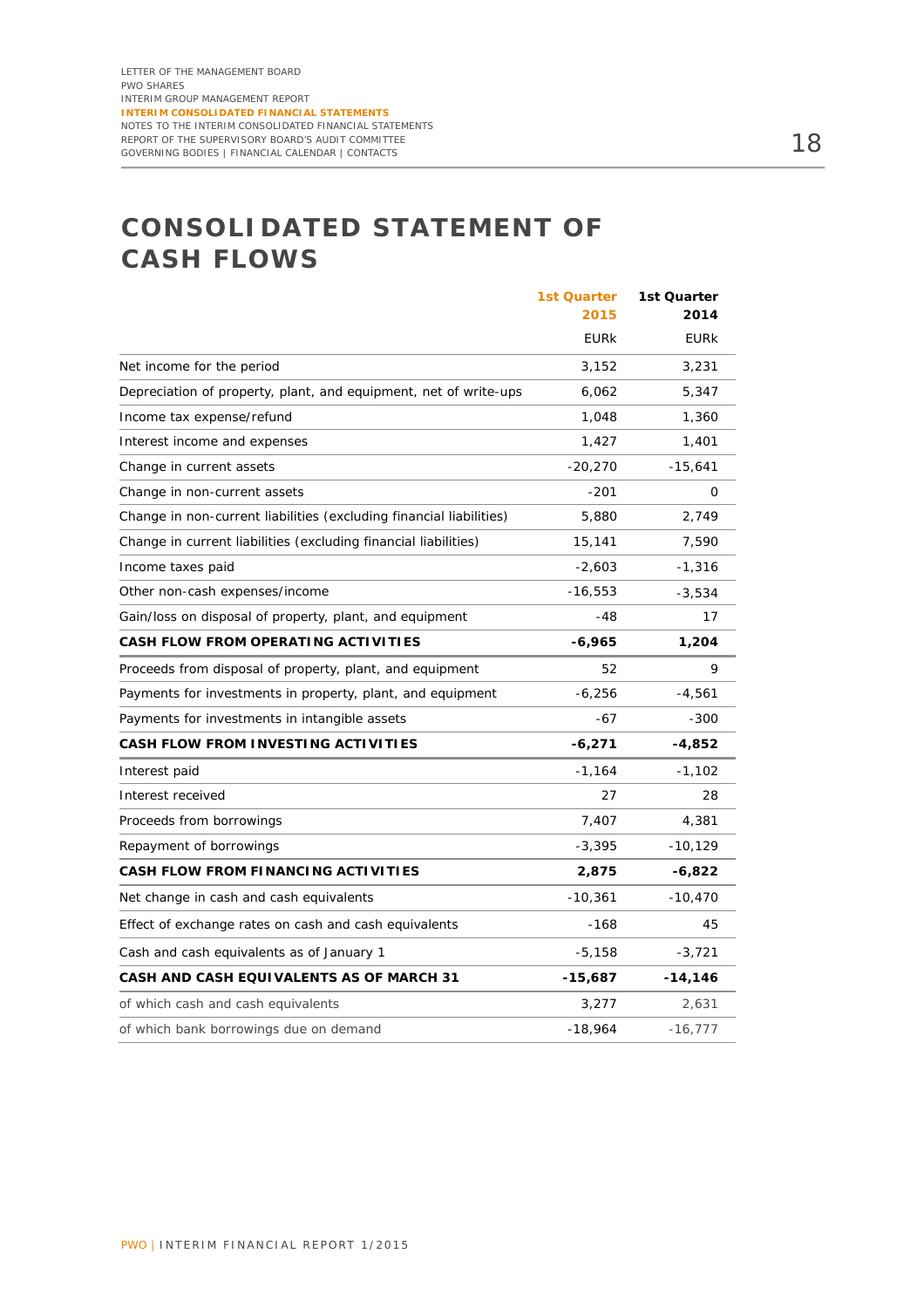# **CONSOLIDATED STATEMENT OF CASH FLOWS**

|                                                                     | <b>1st Quarter</b><br>2015 | 1st Quarter<br>2014 |
|---------------------------------------------------------------------|----------------------------|---------------------|
|                                                                     | <b>EURK</b>                | <b>EURK</b>         |
| Net income for the period                                           | 3,152                      | 3,231               |
| Depreciation of property, plant, and equipment, net of write-ups    | 6,062                      | 5,347               |
| Income tax expense/refund                                           | 1,048                      | 1,360               |
| Interest income and expenses                                        | 1,427                      | 1,401               |
| Change in current assets                                            | $-20,270$                  | $-15,641$           |
| Change in non-current assets                                        | $-201$                     | 0                   |
| Change in non-current liabilities (excluding financial liabilities) | 5,880                      | 2,749               |
| Change in current liabilities (excluding financial liabilities)     | 15,141                     | 7,590               |
| Income taxes paid                                                   | $-2,603$                   | -1,316              |
| Other non-cash expenses/income                                      | $-16,553$                  | $-3,534$            |
| Gain/loss on disposal of property, plant, and equipment             | -48                        | 17                  |
| CASH FLOW FROM OPERATING ACTIVITIES                                 | -6,965                     | 1,204               |
| Proceeds from disposal of property, plant, and equipment            | 52                         | 9                   |
| Payments for investments in property, plant, and equipment          | $-6,256$                   | -4,561              |
| Payments for investments in intangible assets                       | -67                        | $-300$              |
| CASH FLOW FROM INVESTING ACTIVITIES                                 | $-6,271$                   | -4,852              |
| Interest paid                                                       | $-1,164$                   | $-1,102$            |
| Interest received                                                   | 27                         | 28                  |
| Proceeds from borrowings                                            | 7,407                      | 4,381               |
| Repayment of borrowings                                             | $-3,395$                   | $-10,129$           |
| CASH FLOW FROM FINANCING ACTIVITIES                                 | 2,875                      | $-6,822$            |
| Net change in cash and cash equivalents                             | $-10,361$                  | $-10,470$           |
| Effect of exchange rates on cash and cash equivalents               | $-168$                     | 45                  |
| Cash and cash equivalents as of January 1                           | $-5,158$                   | $-3,721$            |
| CASH AND CASH EQUIVALENTS AS OF MARCH 31                            | -15,687                    | $-14,146$           |
| of which cash and cash equivalents                                  | 3,277                      | 2,631               |
| of which bank borrowings due on demand                              | $-18,964$                  | $-16,777$           |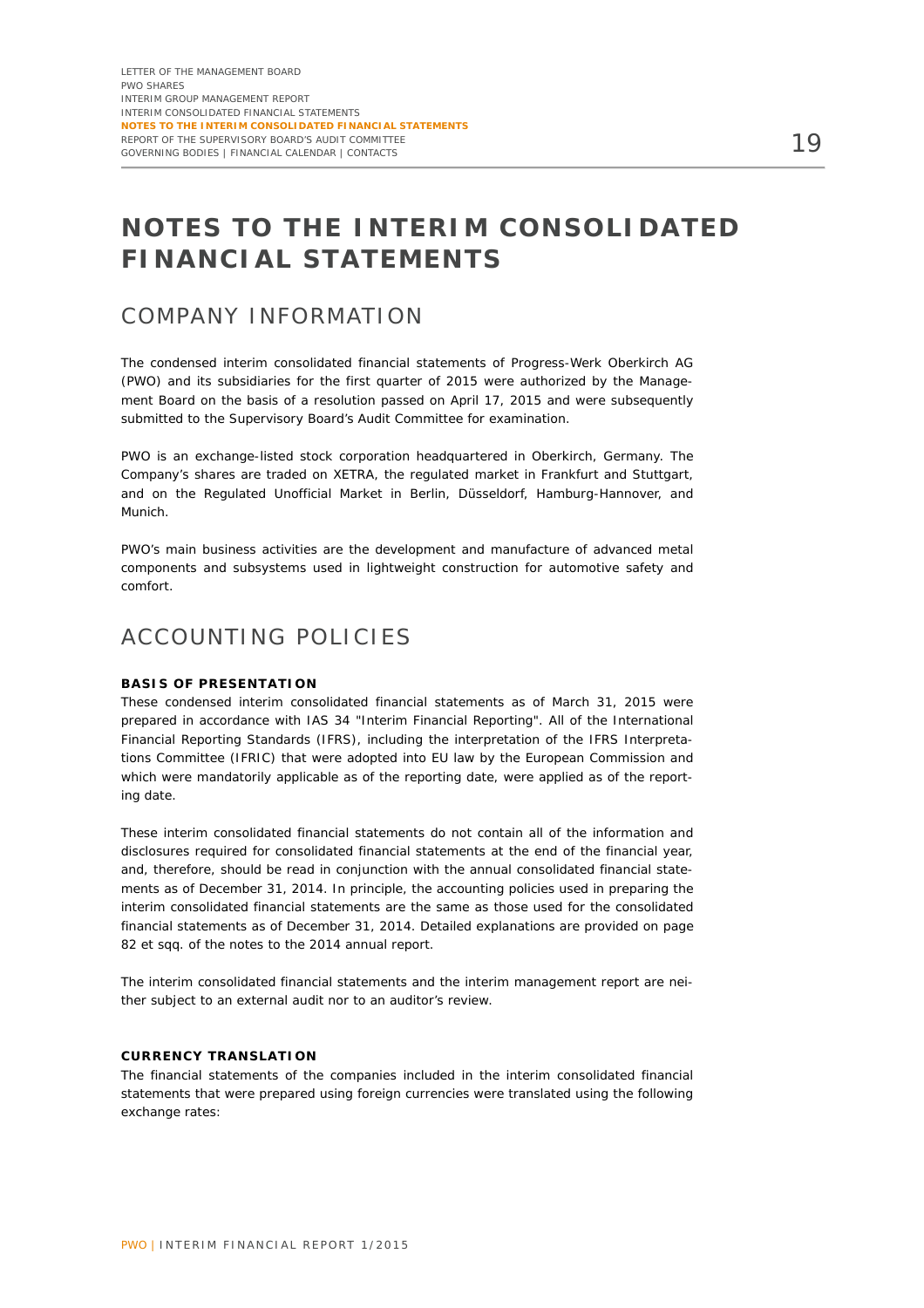# **NOTES TO THE INTERIM CONSOLIDATED FINANCIAL STATEMENTS**

### COMPANY INFORMATION

The condensed interim consolidated financial statements of Progress-Werk Oberkirch AG (PWO) and its subsidiaries for the first quarter of 2015 were authorized by the Management Board on the basis of a resolution passed on April 17, 2015 and were subsequently submitted to the Supervisory Board's Audit Committee for examination.

PWO is an exchange-listed stock corporation headquartered in Oberkirch, Germany. The Company's shares are traded on XETRA, the regulated market in Frankfurt and Stuttgart, and on the Regulated Unofficial Market in Berlin, Düsseldorf, Hamburg-Hannover, and Munich.

PWO's main business activities are the development and manufacture of advanced metal components and subsystems used in lightweight construction for automotive safety and comfort.

### ACCOUNTING POLICIES

#### **BASIS OF PRESENTATION**

These condensed interim consolidated financial statements as of March 31, 2015 were prepared in accordance with IAS 34 "Interim Financial Reporting". All of the International Financial Reporting Standards (IFRS), including the interpretation of the IFRS Interpretations Committee (IFRIC) that were adopted into EU law by the European Commission and which were mandatorily applicable as of the reporting date, were applied as of the reporting date.

These interim consolidated financial statements do not contain all of the information and disclosures required for consolidated financial statements at the end of the financial year, and, therefore, should be read in conjunction with the annual consolidated financial statements as of December 31, 2014. In principle, the accounting policies used in preparing the interim consolidated financial statements are the same as those used for the consolidated financial statements as of December 31, 2014. Detailed explanations are provided on page 82 et sqq. of the notes to the 2014 annual report.

The interim consolidated financial statements and the interim management report are neither subject to an external audit nor to an auditor's review.

#### **CURRENCY TRANSLATION**

The financial statements of the companies included in the interim consolidated financial statements that were prepared using foreign currencies were translated using the following exchange rates: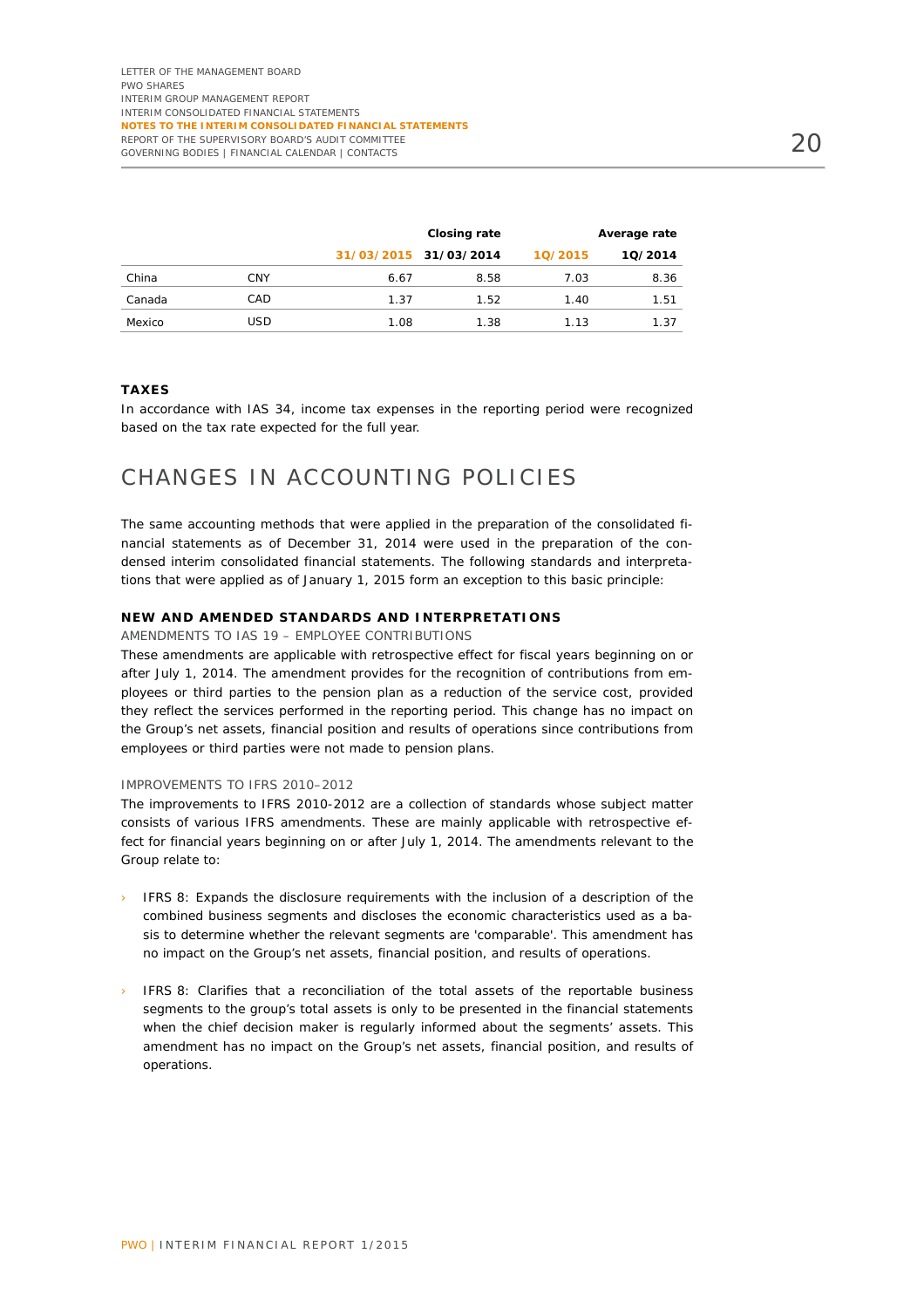|        |     |      | Closing rate          |         | Average rate |
|--------|-----|------|-----------------------|---------|--------------|
|        |     |      | 31/03/2015 31/03/2014 | 10/2015 | 10/2014      |
| China  | CNY | 6.67 | 8.58                  | 7.03    | 8.36         |
| Canada | CAD | 1.37 | 1.52                  | 1.40    | 1.51         |
| Mexico | USD | 1.08 | 1.38                  | 1.13    | 1.37         |

#### **TAXES**

In accordance with IAS 34, income tax expenses in the reporting period were recognized based on the tax rate expected for the full year.

### CHANGES IN ACCOUNTING POLICIES

The same accounting methods that were applied in the preparation of the consolidated financial statements as of December 31, 2014 were used in the preparation of the condensed interim consolidated financial statements. The following standards and interpretations that were applied as of January 1, 2015 form an exception to this basic principle:

#### **NEW AND AMENDED STANDARDS AND INTERPRETATIONS**

#### AMENDMENTS TO IAS 19 – EMPLOYEE CONTRIBUTIONS

These amendments are applicable with retrospective effect for fiscal years beginning on or after July 1, 2014. The amendment provides for the recognition of contributions from employees or third parties to the pension plan as a reduction of the service cost, provided they reflect the services performed in the reporting period. This change has no impact on the Group's net assets, financial position and results of operations since contributions from employees or third parties were not made to pension plans.

#### IMPROVEMENTS TO IFRS 2010–2012

The improvements to IFRS 2010-2012 are a collection of standards whose subject matter consists of various IFRS amendments. These are mainly applicable with retrospective effect for financial years beginning on or after July 1, 2014. The amendments relevant to the Group relate to:

- IFRS 8: Expands the disclosure requirements with the inclusion of a description of the combined business segments and discloses the economic characteristics used as a basis to determine whether the relevant segments are 'comparable'. This amendment has no impact on the Group's net assets, financial position, and results of operations.
- IFRS 8: Clarifies that a reconciliation of the total assets of the reportable business segments to the group's total assets is only to be presented in the financial statements when the chief decision maker is regularly informed about the segments' assets. This amendment has no impact on the Group's net assets, financial position, and results of operations.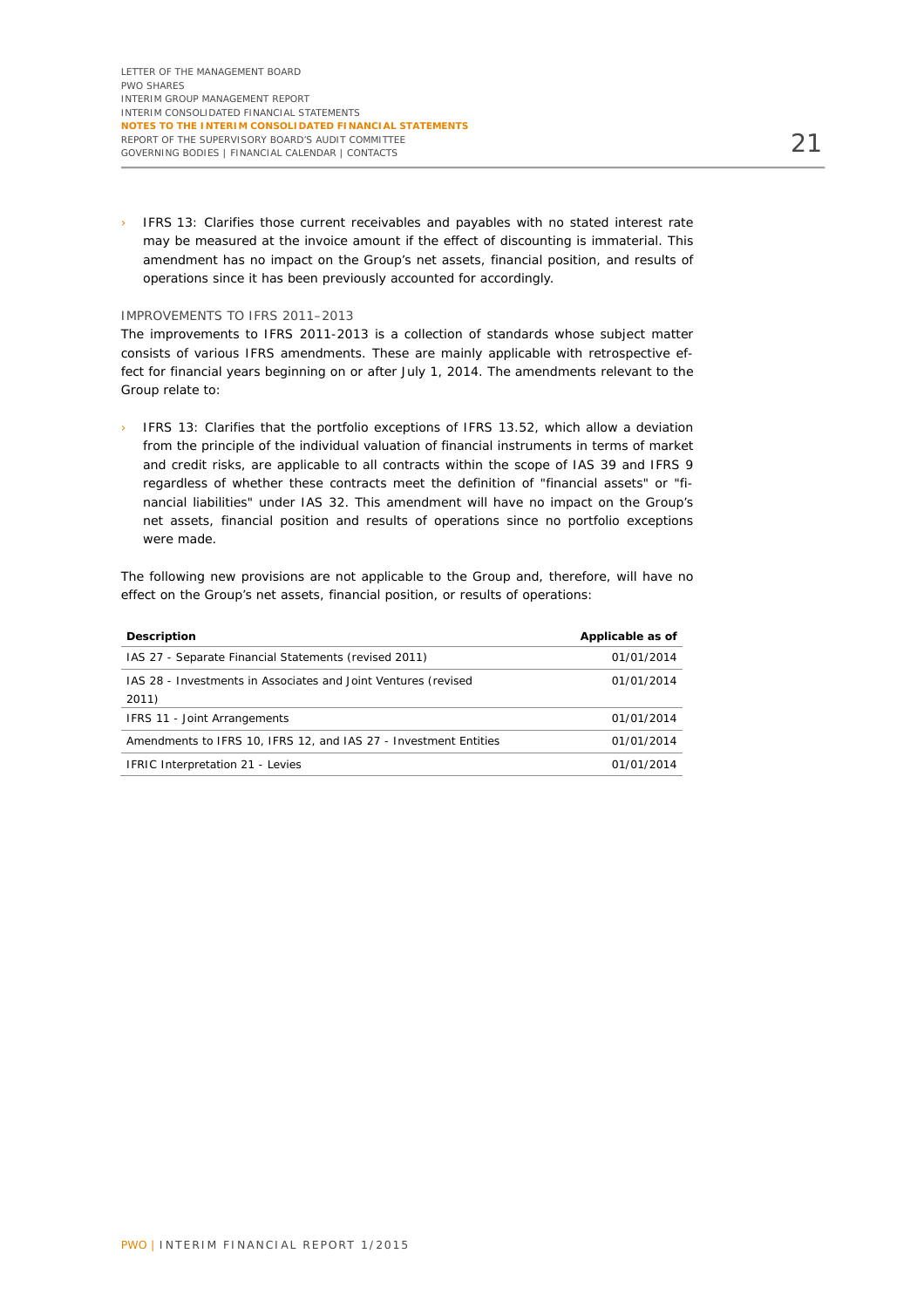› IFRS 13: Clarifies those current receivables and payables with no stated interest rate may be measured at the invoice amount if the effect of discounting is immaterial. This amendment has no impact on the Group's net assets, financial position, and results of operations since it has been previously accounted for accordingly.

#### IMPROVEMENTS TO IFRS 2011–2013

The improvements to IFRS 2011-2013 is a collection of standards whose subject matter consists of various IFRS amendments. These are mainly applicable with retrospective effect for financial years beginning on or after July 1, 2014. The amendments relevant to the Group relate to:

› IFRS 13: Clarifies that the portfolio exceptions of IFRS 13.52, which allow a deviation from the principle of the individual valuation of financial instruments in terms of market and credit risks, are applicable to all contracts within the scope of IAS 39 and IFRS 9 regardless of whether these contracts meet the definition of "financial assets" or "financial liabilities" under IAS 32. This amendment will have no impact on the Group's net assets, financial position and results of operations since no portfolio exceptions were made.

The following new provisions are not applicable to the Group and, therefore, will have no effect on the Group's net assets, financial position, or results of operations:

| <b>Description</b>                                               | Applicable as of |
|------------------------------------------------------------------|------------------|
| IAS 27 - Separate Financial Statements (revised 2011)            | 01/01/2014       |
| IAS 28 - Investments in Associates and Joint Ventures (revised   | 01/01/2014       |
| 2011)                                                            |                  |
| IFRS 11 - Joint Arrangements                                     | 01/01/2014       |
| Amendments to IFRS 10, IFRS 12, and IAS 27 - Investment Entities | 01/01/2014       |
| <b>IFRIC Interpretation 21 - Levies</b>                          | 01/01/2014       |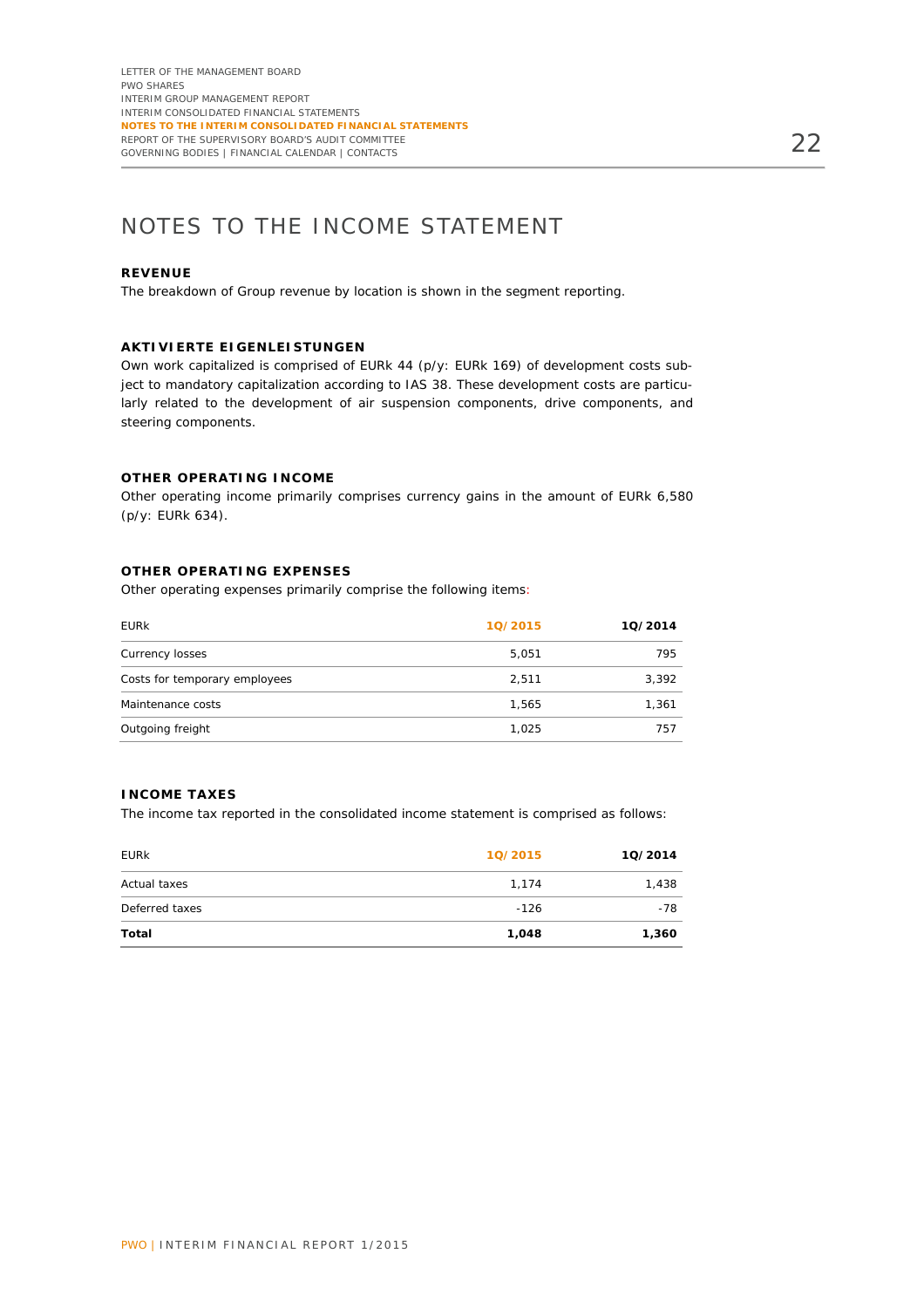# NOTES TO THE INCOME STATEMENT

#### **REVENUE**

The breakdown of Group revenue by location is shown in the segment reporting.

#### **AKTIVIERTE EIGENLEISTUNGEN**

Own work capitalized is comprised of EURk 44 (p/y: EURk 169) of development costs subject to mandatory capitalization according to IAS 38. These development costs are particularly related to the development of air suspension components, drive components, and steering components.

#### **OTHER OPERATING INCOME**

Other operating income primarily comprises currency gains in the amount of EURk 6,580 (p/y: EURk 634).

#### **OTHER OPERATING EXPENSES**

Other operating expenses primarily comprise the following items:

| <b>EURK</b>                   | 10/2015 | 10/2014 |
|-------------------------------|---------|---------|
| Currency losses               | 5,051   | 795     |
| Costs for temporary employees | 2,511   | 3,392   |
| Maintenance costs             | 1.565   | 1.361   |
| Outgoing freight              | 1,025   | 757     |
|                               |         |         |

#### **INCOME TAXES**

The income tax reported in the consolidated income statement is comprised as follows:

| <b>EURK</b>    | 10/2015 | 10/2014 |
|----------------|---------|---------|
| Actual taxes   | 1,174   | 1,438   |
| Deferred taxes | $-126$  | -78     |
| Total          | 1,048   | 1,360   |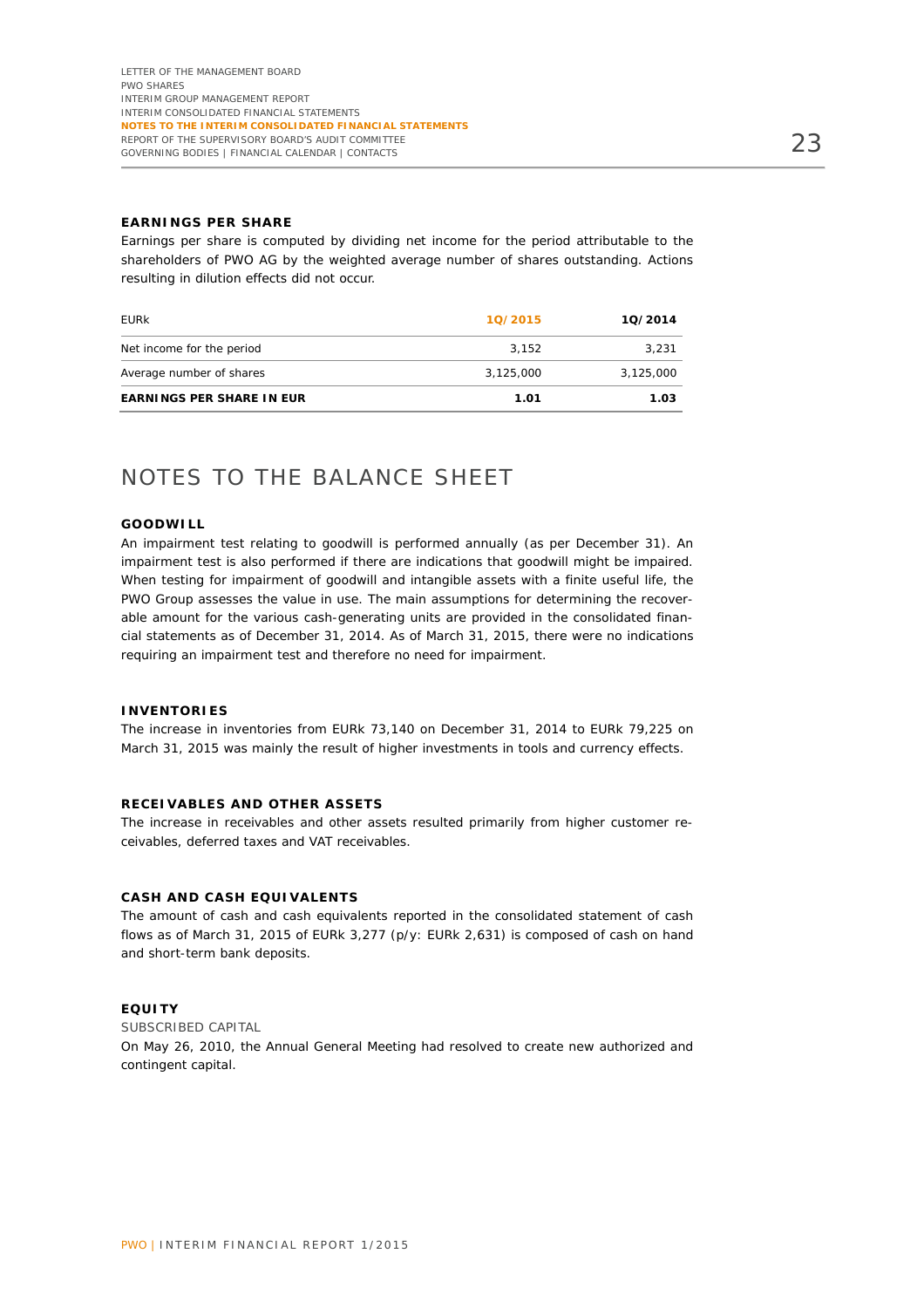#### **EARNINGS PER SHARE**

Earnings per share is computed by dividing net income for the period attributable to the shareholders of PWO AG by the weighted average number of shares outstanding. Actions resulting in dilution effects did not occur.

| <b>EURK</b>                      | 10/2015   | 10/2014   |
|----------------------------------|-----------|-----------|
| Net income for the period        | 3.152     | 3.231     |
| Average number of shares         | 3.125.000 | 3,125,000 |
| <b>EARNINGS PER SHARE IN EUR</b> | 1.01      | 1.03      |

### NOTES TO THE BALANCE SHEET

#### **GOODWILL**

An impairment test relating to goodwill is performed annually (as per December 31). An impairment test is also performed if there are indications that goodwill might be impaired. When testing for impairment of goodwill and intangible assets with a finite useful life, the PWO Group assesses the value in use. The main assumptions for determining the recoverable amount for the various cash-generating units are provided in the consolidated financial statements as of December 31, 2014. As of March 31, 2015, there were no indications requiring an impairment test and therefore no need for impairment.

#### **INVENTORIES**

The increase in inventories from EURk 73,140 on December 31, 2014 to EURk 79,225 on March 31, 2015 was mainly the result of higher investments in tools and currency effects.

#### **RECEIVABLES AND OTHER ASSETS**

The increase in receivables and other assets resulted primarily from higher customer receivables, deferred taxes and VAT receivables.

#### **CASH AND CASH EQUIVALENTS**

The amount of cash and cash equivalents reported in the consolidated statement of cash flows as of March 31, 2015 of EURk 3,277 (p/y: EURk 2,631) is composed of cash on hand and short-term bank deposits.

#### **EQUITY**

SUBSCRIBED CAPITAL On May 26, 2010, the Annual General Meeting had resolved to create new authorized and contingent capital.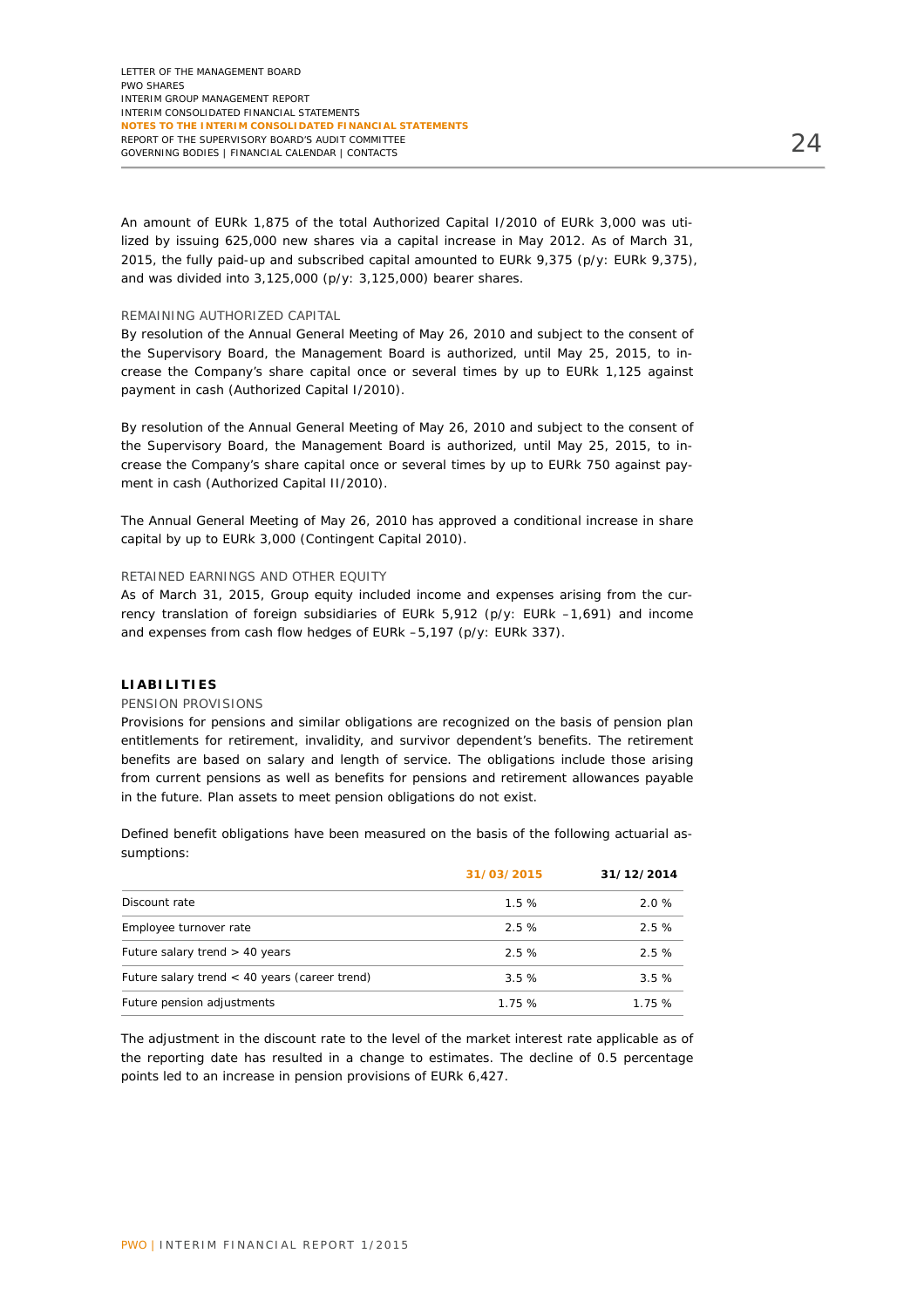An amount of EURk 1,875 of the total Authorized Capital I/2010 of EURk 3,000 was utilized by issuing 625,000 new shares via a capital increase in May 2012. As of March 31, 2015, the fully paid-up and subscribed capital amounted to EURk 9,375 (p/y: EURk 9,375), and was divided into 3,125,000 (p/y: 3,125,000) bearer shares.

#### REMAINING AUTHORIZED CAPITAL

By resolution of the Annual General Meeting of May 26, 2010 and subject to the consent of the Supervisory Board, the Management Board is authorized, until May 25, 2015, to increase the Company's share capital once or several times by up to EURk 1,125 against payment in cash (Authorized Capital I/2010).

By resolution of the Annual General Meeting of May 26, 2010 and subject to the consent of the Supervisory Board, the Management Board is authorized, until May 25, 2015, to increase the Company's share capital once or several times by up to EURk 750 against payment in cash (Authorized Capital II/2010).

The Annual General Meeting of May 26, 2010 has approved a conditional increase in share capital by up to EURk 3,000 (Contingent Capital 2010).

#### RETAINED EARNINGS AND OTHER EQUITY

As of March 31, 2015, Group equity included income and expenses arising from the currency translation of foreign subsidiaries of EURk 5,912 (p/y: EURk –1,691) and income and expenses from cash flow hedges of EURk –5,197 (p/y: EURk 337).

#### **LIABILITIES**

#### PENSION PROVISIONS

Provisions for pensions and similar obligations are recognized on the basis of pension plan entitlements for retirement, invalidity, and survivor dependent's benefits. The retirement benefits are based on salary and length of service. The obligations include those arising from current pensions as well as benefits for pensions and retirement allowances payable in the future. Plan assets to meet pension obligations do not exist.

Defined benefit obligations have been measured on the basis of the following actuarial assumptions:

|                                                 | 31/03/2015 | 31/12/2014 |
|-------------------------------------------------|------------|------------|
| Discount rate                                   | 1.5%       | 2.0%       |
| Employee turnover rate                          | 2.5%       | 2.5%       |
| Future salary trend $>$ 40 years                | 2.5%       | 2.5%       |
| Future salary trend $<$ 40 years (career trend) | 3.5%       | 3.5%       |
| Future pension adjustments                      | 1.75%      | 1.75%      |

The adjustment in the discount rate to the level of the market interest rate applicable as of the reporting date has resulted in a change to estimates. The decline of 0.5 percentage points led to an increase in pension provisions of EURk 6,427.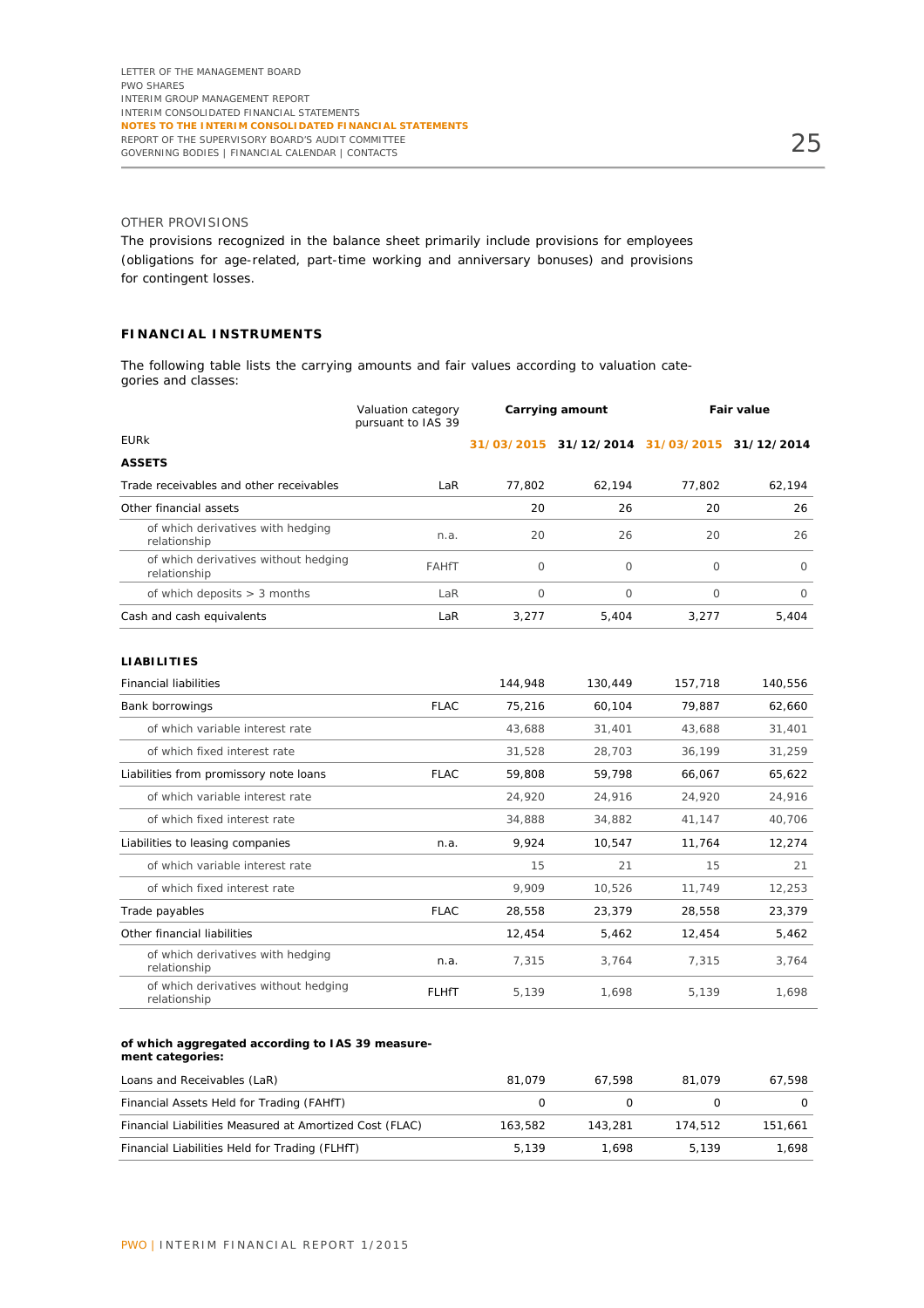#### OTHER PROVISIONS

The provisions recognized in the balance sheet primarily include provisions for employees (obligations for age-related, part-time working and anniversary bonuses) and provisions for contingent losses.

#### **FINANCIAL INSTRUMENTS**

The following table lists the carrying amounts and fair values according to valuation categories and classes:

|                                                      | Valuation category<br>pursuant to IAS 39 | Carrying amount |                                             | <b>Fair value</b> |         |
|------------------------------------------------------|------------------------------------------|-----------------|---------------------------------------------|-------------------|---------|
| <b>EURK</b>                                          |                                          |                 | 31/03/2015 31/12/2014 31/03/2015 31/12/2014 |                   |         |
| <b>ASSETS</b>                                        |                                          |                 |                                             |                   |         |
| Trade receivables and other receivables              | LaR                                      | 77,802          | 62,194                                      | 77,802            | 62,194  |
| Other financial assets                               |                                          | 20              | 26                                          | 20                | 26      |
| of which derivatives with hedging<br>relationship    | n.a.                                     | 20              | 26                                          | 20                | 26      |
| of which derivatives without hedging<br>relationship | <b>FAHfT</b>                             | 0               | $\circ$                                     | $\circ$           | $\circ$ |
| of which deposits $> 3$ months                       | LaR                                      | $\circ$         | $\Omega$                                    | $\Omega$          | $\circ$ |
| Cash and cash equivalents                            | LaR                                      | 3,277           | 5,404                                       | 3,277             | 5,404   |
| <b>LIABILITIES</b>                                   |                                          |                 |                                             |                   |         |
| <b>Financial liabilities</b>                         |                                          | 144,948         | 130,449                                     | 157,718           | 140,556 |
| Bank borrowings                                      | <b>FLAC</b>                              | 75,216          | 60,104                                      | 79,887            | 62,660  |
| of which variable interest rate                      |                                          | 43,688          | 31,401                                      | 43,688            | 31,401  |
| of which fixed interest rate                         |                                          | 31,528          | 28,703                                      | 36,199            | 31,259  |
| Liabilities from promissory note loans               | <b>FLAC</b>                              | 59,808          | 59.798                                      | 66.067            | 65,622  |
| of which variable interest rate                      |                                          | 24,920          | 24,916                                      | 24,920            | 24,916  |
| of which fixed interest rate                         |                                          | 34,888          | 34,882                                      | 41,147            | 40,706  |
| Liabilities to leasing companies                     | n.a.                                     | 9,924           | 10,547                                      | 11,764            | 12,274  |
| of which variable interest rate                      |                                          | 15              | 21                                          | 15                | 21      |
| of which fixed interest rate                         |                                          | 9,909           | 10,526                                      | 11,749            | 12,253  |
| Trade payables                                       | <b>FLAC</b>                              | 28,558          | 23,379                                      | 28,558            | 23,379  |
| Other financial liabilities                          |                                          | 12,454          | 5,462                                       | 12,454            | 5,462   |
| of which derivatives with hedging<br>relationship    | n.a.                                     | 7,315           | 3,764                                       | 7,315             | 3,764   |

#### **of which aggregated according to IAS 39 measurement categories:**

of which derivatives without hedging<br>relationship

| Loans and Receivables (LaR)                             | 81.079  | 67.598  | 81.079  | 67.598  |
|---------------------------------------------------------|---------|---------|---------|---------|
| Financial Assets Held for Trading (FAHfT)               |         |         |         |         |
| Financial Liabilities Measured at Amortized Cost (FLAC) | 163.582 | 143.281 | 174.512 | 151.661 |
| Financial Liabilities Held for Trading (FLHfT)          | 5.139   | 1.698   | 5.139   | 1.698   |

or which derivatives without neughly in the FLHfT in the 5,139 to 1,698 5,139 to 1,698<br>relationship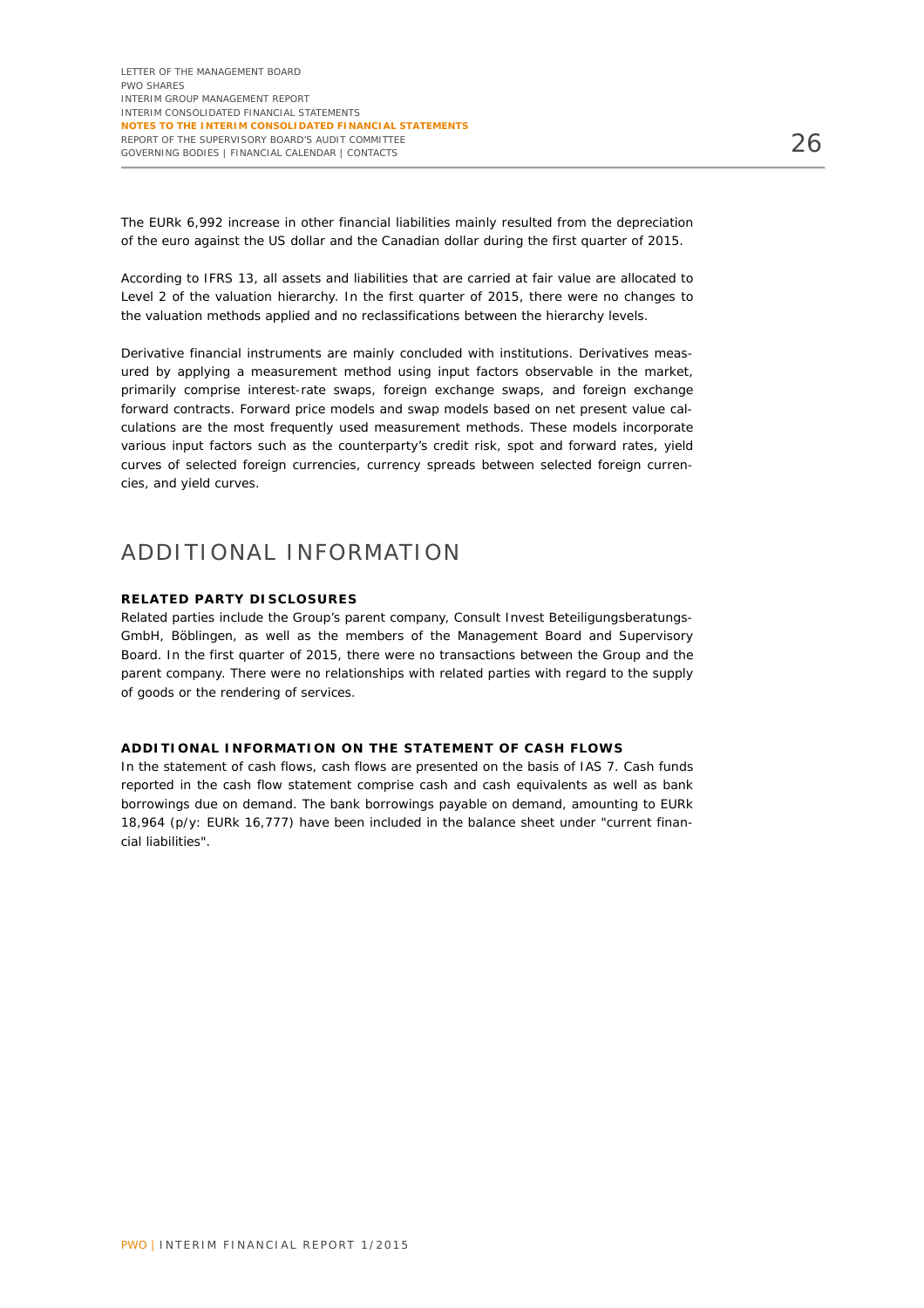The EURk 6,992 increase in other financial liabilities mainly resulted from the depreciation of the euro against the US dollar and the Canadian dollar during the first quarter of 2015.

According to IFRS 13, all assets and liabilities that are carried at fair value are allocated to Level 2 of the valuation hierarchy. In the first quarter of 2015, there were no changes to the valuation methods applied and no reclassifications between the hierarchy levels.

Derivative financial instruments are mainly concluded with institutions. Derivatives measured by applying a measurement method using input factors observable in the market, primarily comprise interest-rate swaps, foreign exchange swaps, and foreign exchange forward contracts. Forward price models and swap models based on net present value calculations are the most frequently used measurement methods. These models incorporate various input factors such as the counterparty's credit risk, spot and forward rates, yield curves of selected foreign currencies, currency spreads between selected foreign currencies, and yield curves.

### ADDITIONAL INFORMATION

#### **RELATED PARTY DISCLOSURES**

Related parties include the Group's parent company, Consult Invest Beteiligungsberatungs-GmbH, Böblingen, as well as the members of the Management Board and Supervisory Board. In the first quarter of 2015, there were no transactions between the Group and the parent company. There were no relationships with related parties with regard to the supply of goods or the rendering of services.

#### **ADDITIONAL INFORMATION ON THE STATEMENT OF CASH FLOWS**

In the statement of cash flows, cash flows are presented on the basis of IAS 7. Cash funds reported in the cash flow statement comprise cash and cash equivalents as well as bank borrowings due on demand. The bank borrowings payable on demand, amounting to EURk 18,964 (p/y: EURk 16,777) have been included in the balance sheet under "current financial liabilities".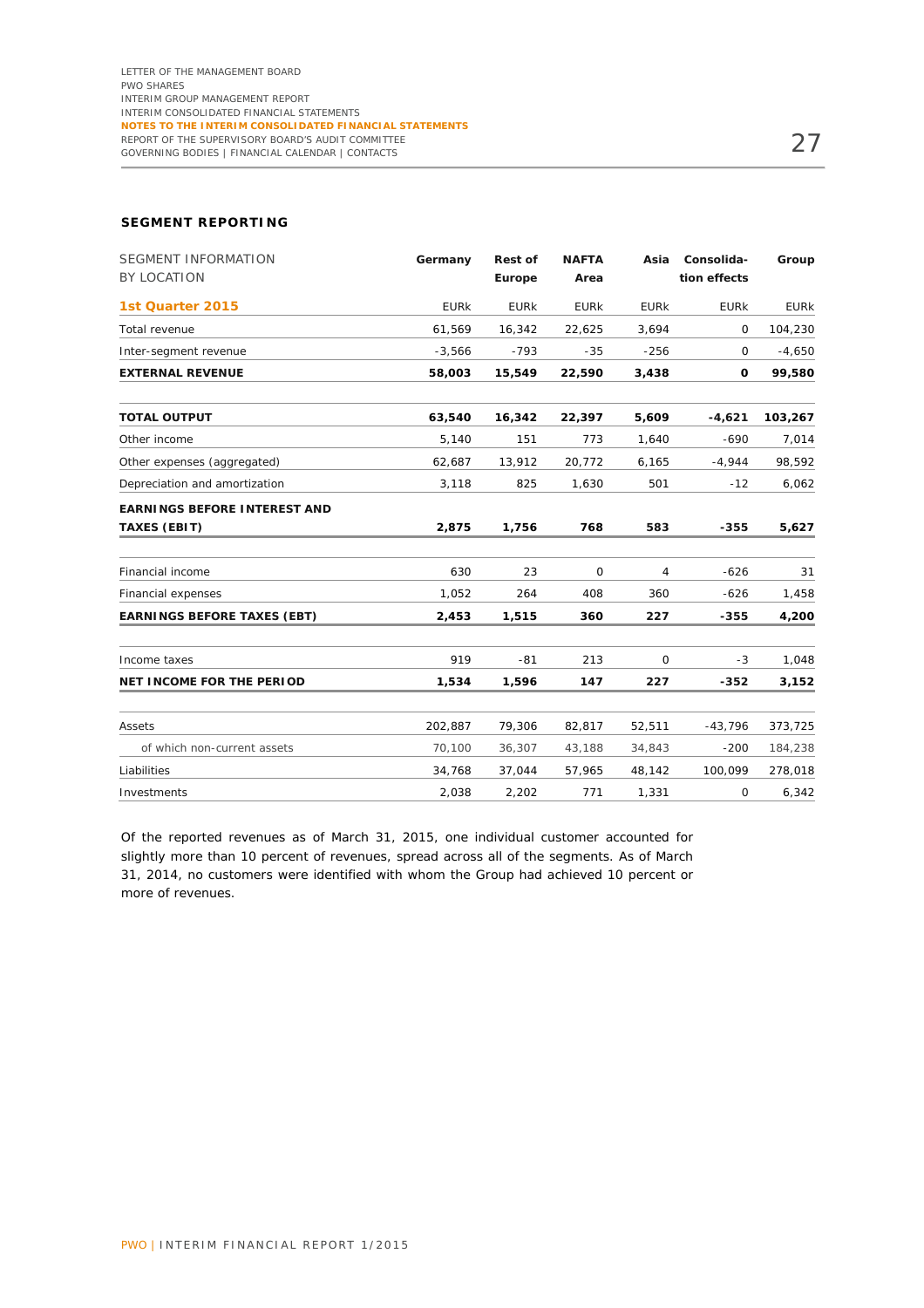#### **SEGMENT REPORTING**

| <b>SEGMENT INFORMATION</b><br><b>BY LOCATION</b> | Germany     | <b>Rest of</b><br>Europe | <b>NAFTA</b><br>Area | Asia        | Consolida-<br>tion effects | Group       |
|--------------------------------------------------|-------------|--------------------------|----------------------|-------------|----------------------------|-------------|
|                                                  |             |                          |                      |             |                            |             |
| 1st Quarter 2015                                 | <b>EURK</b> | <b>EURK</b>              | <b>EURK</b>          | <b>EURK</b> | <b>EURK</b>                | <b>EURK</b> |
| Total revenue                                    | 61,569      | 16,342                   | 22,625               | 3,694       | $\mathbf 0$                | 104,230     |
| Inter-segment revenue                            | $-3,566$    | $-793$                   | $-35$                | $-256$      | 0                          | $-4,650$    |
| <b>EXTERNAL REVENUE</b>                          | 58,003      | 15,549                   | 22,590               | 3,438       | 0                          | 99,580      |
| <b>TOTAL OUTPUT</b>                              | 63,540      | 16,342                   | 22,397               | 5,609       | $-4,621$                   | 103,267     |
| Other income                                     | 5,140       | 151                      | 773                  | 1,640       | $-690$                     | 7,014       |
| Other expenses (aggregated)                      | 62,687      | 13,912                   | 20,772               | 6,165       | $-4,944$                   | 98,592      |
| Depreciation and amortization                    | 3,118       | 825                      | 1,630                | 501         | $-12$                      | 6,062       |
| <b>EARNINGS BEFORE INTEREST AND</b>              |             |                          |                      |             |                            |             |
| <b>TAXES (EBIT)</b>                              | 2,875       | 1,756                    | 768                  | 583         | $-355$                     | 5,627       |
| Financial income                                 | 630         | 23                       | 0                    | 4           | $-626$                     | 31          |
| Financial expenses                               | 1,052       | 264                      | 408                  | 360         | $-626$                     | 1,458       |
| <b>EARNINGS BEFORE TAXES (EBT)</b>               | 2,453       | 1,515                    | 360                  | 227         | $-355$                     | 4,200       |
| Income taxes                                     | 919         | $-81$                    | 213                  | 0           | $-3$                       | 1,048       |
| <b>NET INCOME FOR THE PERIOD</b>                 | 1,534       | 1,596                    | 147                  | 227         | $-352$                     | 3,152       |
| Assets                                           | 202,887     | 79,306                   | 82,817               | 52,511      | $-43,796$                  | 373,725     |
| of which non-current assets                      | 70,100      | 36,307                   | 43,188               | 34,843      | $-200$                     | 184,238     |
| Liabilities                                      | 34,768      | 37,044                   | 57,965               | 48,142      | 100,099                    | 278,018     |
| Investments                                      | 2,038       | 2,202                    | 771                  | 1,331       | 0                          | 6,342       |

Of the reported revenues as of March 31, 2015, one individual customer accounted for slightly more than 10 percent of revenues, spread across all of the segments. As of March 31, 2014, no customers were identified with whom the Group had achieved 10 percent or more of revenues.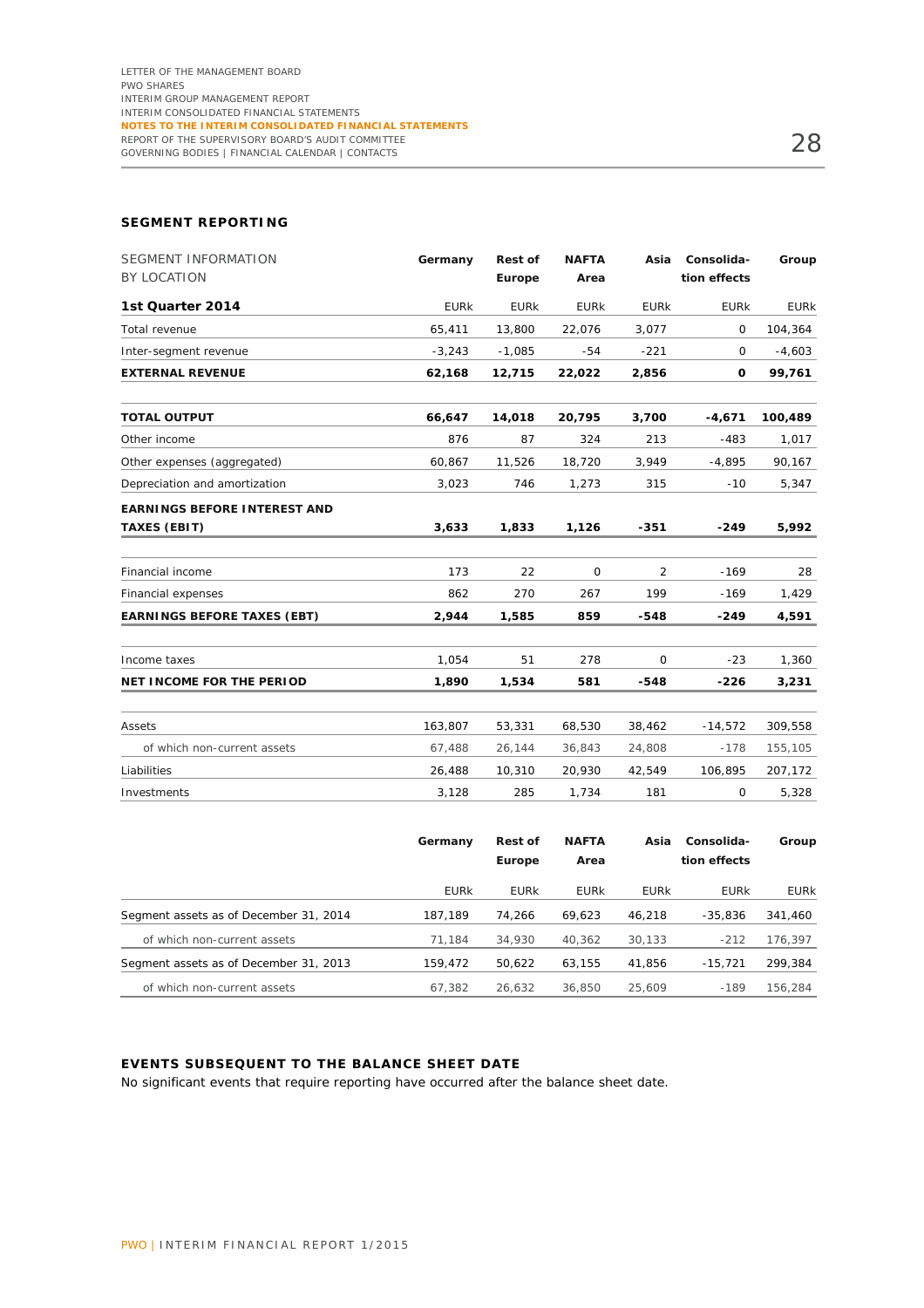#### **SEGMENT REPORTING**

| <b>SEGMENT INFORMATION</b><br><b>BY LOCATION</b>           | Germany     | <b>Rest of</b><br>Europe | <b>NAFTA</b><br>Area | Asia           | Consolida-<br>tion effects | Group       |
|------------------------------------------------------------|-------------|--------------------------|----------------------|----------------|----------------------------|-------------|
| 1st Quarter 2014                                           | <b>EURK</b> | <b>EURK</b>              | <b>EURK</b>          | <b>EURK</b>    | <b>EURK</b>                | <b>EURK</b> |
| Total revenue                                              | 65,411      | 13,800                   | 22,076               | 3,077          | 0                          | 104,364     |
| Inter-segment revenue                                      | $-3,243$    | $-1,085$                 | $-54$                | $-221$         | 0                          | $-4,603$    |
| <b>EXTERNAL REVENUE</b>                                    | 62,168      | 12,715                   | 22,022               | 2,856          | 0                          | 99,761      |
| <b>TOTAL OUTPUT</b>                                        | 66,647      | 14,018                   | 20,795               | 3,700          | $-4,671$                   | 100,489     |
| Other income                                               | 876         | 87                       | 324                  | 213            | $-483$                     | 1,017       |
| Other expenses (aggregated)                                | 60,867      | 11,526                   | 18,720               | 3,949          | $-4,895$                   | 90,167      |
| Depreciation and amortization                              | 3,023       | 746                      | 1,273                | 315            | $-10$                      | 5,347       |
| <b>EARNINGS BEFORE INTEREST AND</b><br><b>TAXES (EBIT)</b> | 3,633       | 1,833                    | 1,126                | $-351$         | $-249$                     | 5,992       |
| Financial income                                           | 173         | 22                       | $\mathbf 0$          | $\overline{2}$ | $-169$                     | 28          |
| Financial expenses                                         | 862         | 270                      | 267                  | 199            | $-169$                     | 1,429       |
| <b>EARNINGS BEFORE TAXES (EBT)</b>                         | 2,944       | 1,585                    | 859                  | -548           | -249                       | 4,591       |
| Income taxes                                               | 1,054       | 51                       | 278                  | $\Omega$       | $-23$                      | 1,360       |
| <b>NET INCOME FOR THE PERIOD</b>                           | 1,890       | 1,534                    | 581                  | $-548$         | $-226$                     | 3,231       |
| Assets                                                     | 163,807     | 53,331                   | 68,530               | 38,462         | $-14,572$                  | 309,558     |
| of which non-current assets                                | 67,488      | 26,144                   | 36,843               | 24,808         | $-178$                     | 155,105     |
| Liabilities                                                | 26,488      | 10,310                   | 20,930               | 42,549         | 106,895                    | 207,172     |
| Investments                                                | 3,128       | 285                      | 1,734                | 181            | 0                          | 5,328       |

|                                        | Germany     | <b>Rest of</b><br>Europe | <b>NAFTA</b><br>Area | Asia        | Consolida-<br>tion effects | Group       |
|----------------------------------------|-------------|--------------------------|----------------------|-------------|----------------------------|-------------|
|                                        | <b>EURK</b> | <b>EURK</b>              | <b>EURK</b>          | <b>EURK</b> | <b>EURK</b>                | <b>EURK</b> |
| Segment assets as of December 31, 2014 | 187.189     | 74.266                   | 69.623               | 46.218      | $-35.836$                  | 341,460     |
| of which non-current assets            | 71.184      | 34,930                   | 40.362               | 30.133      | $-212$                     | 176,397     |
| Segment assets as of December 31, 2013 | 159.472     | 50.622                   | 63.155               | 41.856      | $-15.721$                  | 299,384     |
| of which non-current assets            | 67.382      | 26.632                   | 36,850               | 25,609      | $-189$                     | 156.284     |

#### **EVENTS SUBSEQUENT TO THE BALANCE SHEET DATE**

No significant events that require reporting have occurred after the balance sheet date.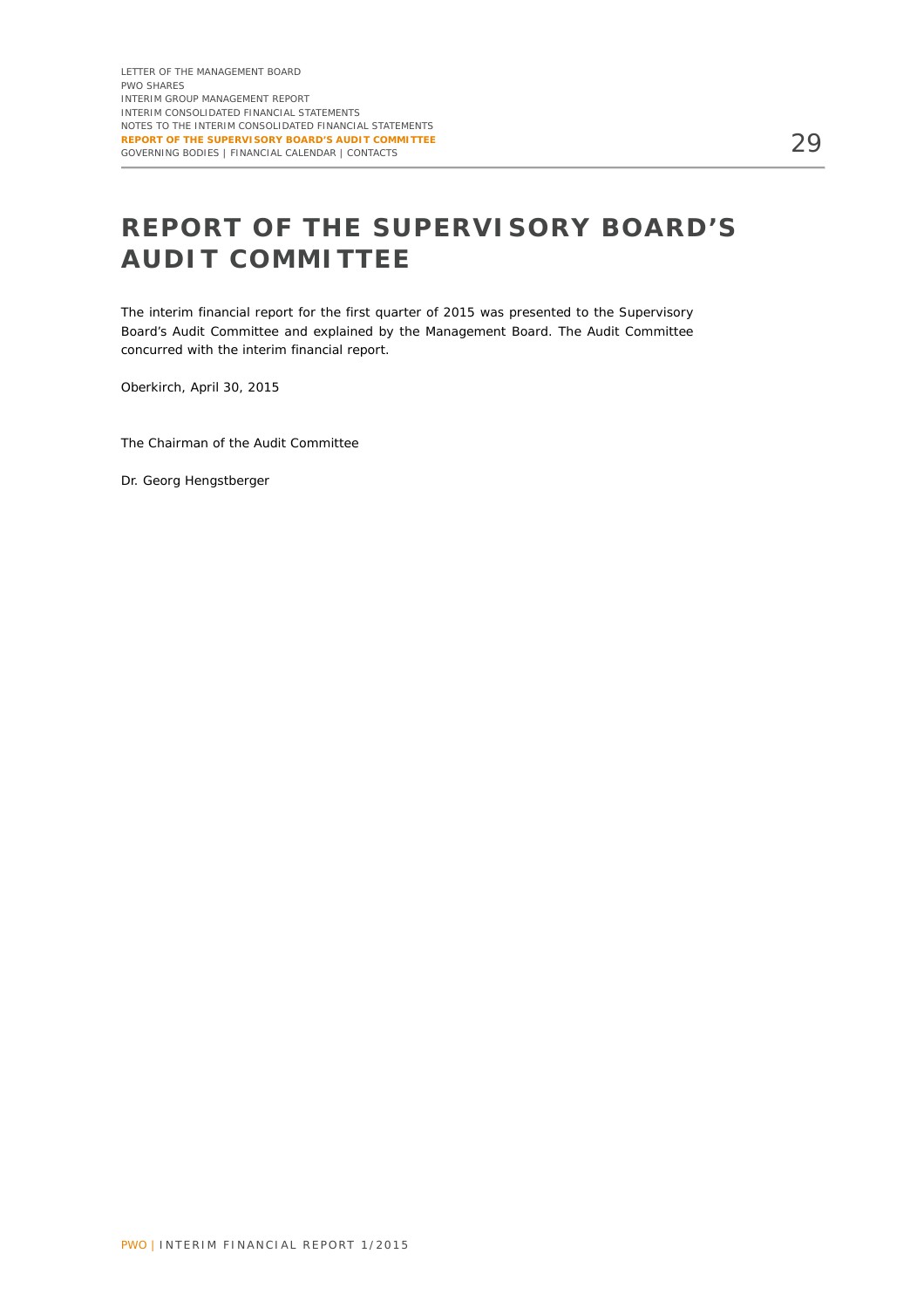# **REPORT OF THE SUPERVISORY BOARD'S AUDIT COMMITTEE**

The interim financial report for the first quarter of 2015 was presented to the Supervisory Board's Audit Committee and explained by the Management Board. The Audit Committee concurred with the interim financial report.

Oberkirch, April 30, 2015

The Chairman of the Audit Committee

Dr. Georg Hengstberger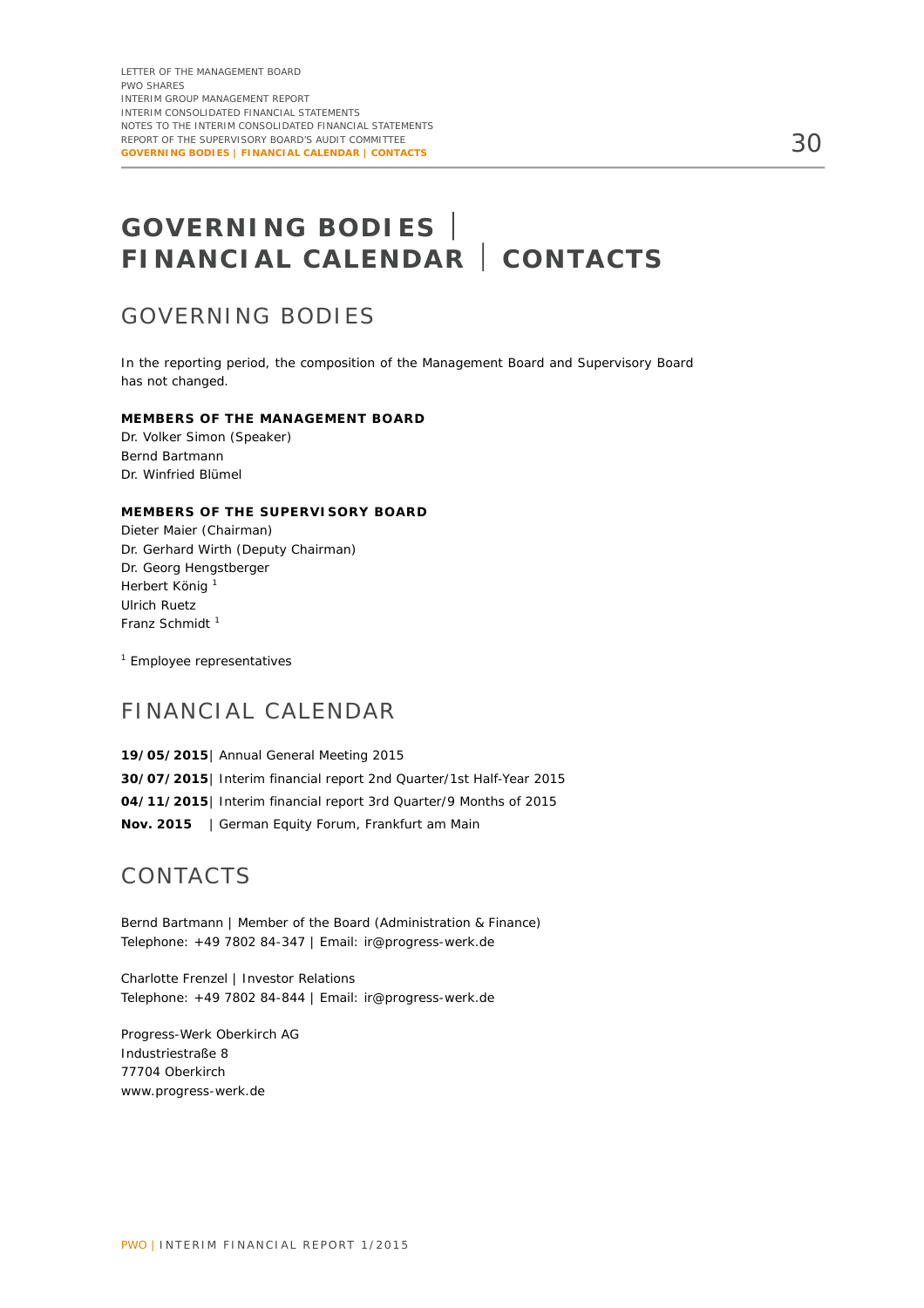# **GOVERNING BODIES FINANCIAL CALENDAR CONTACTS**

### GOVERNING BODIES

In the reporting period, the composition of the Management Board and Supervisory Board has not changed.

#### **MEMBERS OF THE MANAGEMENT BOARD**

Dr. Volker Simon (Speaker) Bernd Bartmann Dr. Winfried Blümel

#### **MEMBERS OF THE SUPERVISORY BOARD**

Dieter Maier (Chairman) Dr. Gerhard Wirth (Deputy Chairman) Dr. Georg Hengstberger Herbert König <sup>1</sup> Ulrich Ruetz Franz Schmidt<sup>1</sup>

<sup>1</sup> Employee representatives

### FINANCIAL CALENDAR

**19/05/2015** | Annual General Meeting 2015 **30/07/2015** | Interim financial report 2nd Quarter/1st Half-Year 2015 **04/11/2015** | Interim financial report 3rd Quarter/9 Months of 2015 **Nov. 2015** | German Equity Forum, Frankfurt am Main

### CONTACTS

Bernd Bartmann | Member of the Board (Administration & Finance) Telephone: +49 7802 84-347 | Email: ir@progress-werk.de

Charlotte Frenzel | Investor Relations Telephone: +49 7802 84-844 | Email: ir@progress-werk.de

Progress-Werk Oberkirch AG Industriestraße 8 77704 Oberkirch www.progress-werk.de